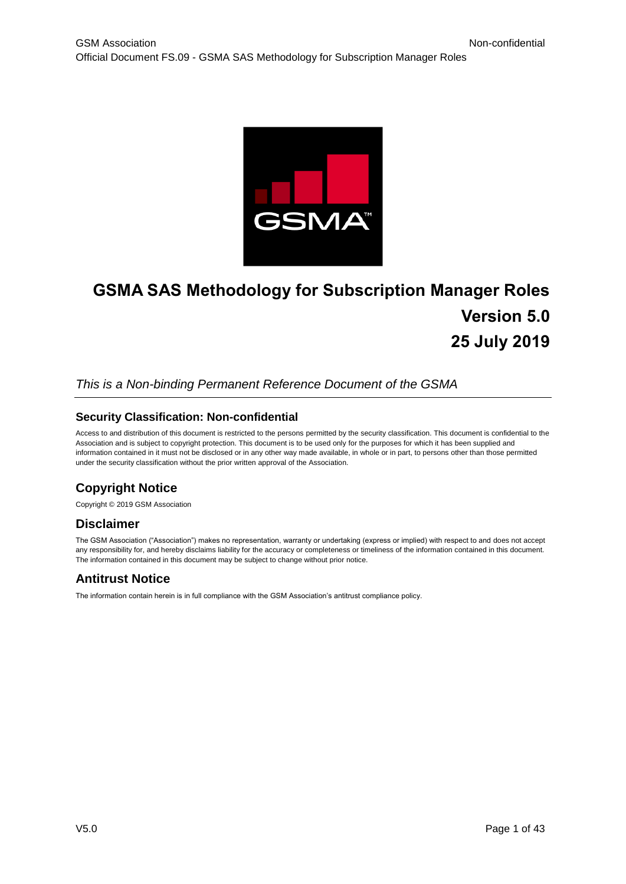

# **GSMA SAS Methodology for Subscription Manager Roles Version 5.0 25 July 2019**

#### *This is a Non-binding Permanent Reference Document of the GSMA*

#### **Security Classification: Non-confidential**

Access to and distribution of this document is restricted to the persons permitted by the security classification. This document is confidential to the Association and is subject to copyright protection. This document is to be used only for the purposes for which it has been supplied and information contained in it must not be disclosed or in any other way made available, in whole or in part, to persons other than those permitted under the security classification without the prior written approval of the Association.

## **Copyright Notice**

Copyright © 2019 GSM Association

## **Disclaimer**

The GSM Association ("Association") makes no representation, warranty or undertaking (express or implied) with respect to and does not accept any responsibility for, and hereby disclaims liability for the accuracy or completeness or timeliness of the information contained in this document. The information contained in this document may be subject to change without prior notice.

## **Antitrust Notice**

The information contain herein is in full compliance with the GSM Association's antitrust compliance policy.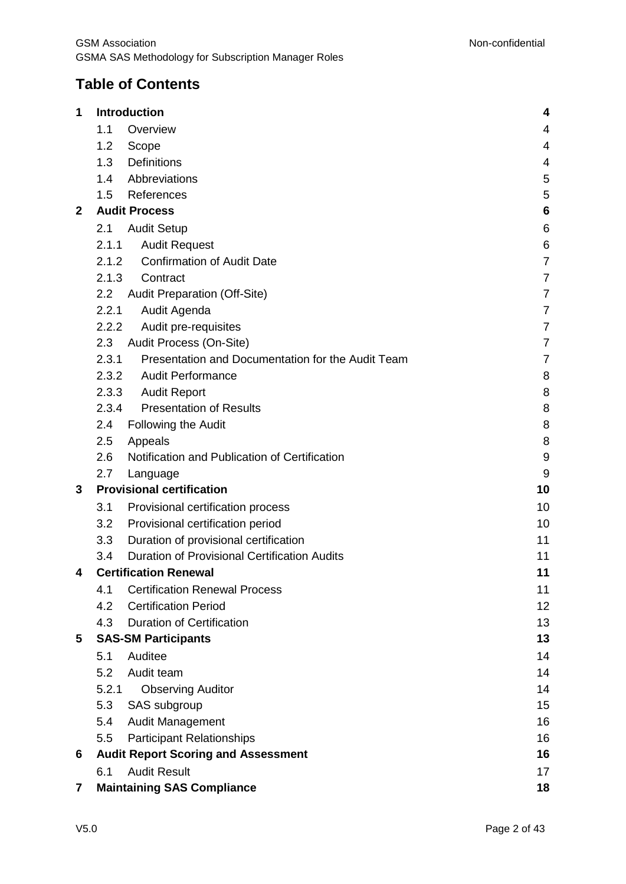## **Table of Contents**

| 1            |                                         | Introduction                                        | 4              |  |  |
|--------------|-----------------------------------------|-----------------------------------------------------|----------------|--|--|
|              | 1.1                                     | Overview                                            | 4              |  |  |
|              | 1.2                                     | Scope                                               | 4              |  |  |
|              | 1.3                                     | <b>Definitions</b>                                  | 4              |  |  |
|              | 1.4                                     | Abbreviations                                       | 5              |  |  |
|              | 1.5                                     | References                                          | 5              |  |  |
| $\mathbf{2}$ |                                         | <b>Audit Process</b>                                | 6              |  |  |
|              | 2.1                                     | <b>Audit Setup</b>                                  | 6              |  |  |
|              | 2.1.1                                   | <b>Audit Request</b>                                | 6              |  |  |
|              | 2.1.2                                   | <b>Confirmation of Audit Date</b>                   | $\overline{7}$ |  |  |
|              | 2.1.3                                   | Contract                                            | $\overline{7}$ |  |  |
|              | 2.2                                     | <b>Audit Preparation (Off-Site)</b>                 | $\overline{7}$ |  |  |
|              | 2.2.1                                   | Audit Agenda                                        | 7              |  |  |
|              | 2.2.2                                   | Audit pre-requisites                                | $\overline{7}$ |  |  |
|              | 2.3                                     | Audit Process (On-Site)                             | $\overline{7}$ |  |  |
|              | 2.3.1                                   | Presentation and Documentation for the Audit Team   | $\overline{7}$ |  |  |
|              | 2.3.2                                   | <b>Audit Performance</b>                            | 8              |  |  |
|              | 2.3.3                                   | <b>Audit Report</b>                                 | 8              |  |  |
|              | 2.3.4                                   | <b>Presentation of Results</b>                      | 8              |  |  |
|              | 2.4                                     | <b>Following the Audit</b>                          | 8              |  |  |
|              | 2.5                                     | Appeals                                             | 8              |  |  |
|              | 2.6                                     | Notification and Publication of Certification       | 9              |  |  |
|              | 2.7                                     | Language                                            | 9              |  |  |
| 3            |                                         | <b>Provisional certification</b>                    | 10             |  |  |
|              | 3.1                                     | Provisional certification process                   | 10             |  |  |
|              | 3.2                                     | Provisional certification period                    | 10             |  |  |
|              | 3.3                                     | Duration of provisional certification               | 11             |  |  |
|              | 3.4                                     | <b>Duration of Provisional Certification Audits</b> | 11             |  |  |
| 4            | <b>Certification Renewal</b>            |                                                     |                |  |  |
|              | 4.1                                     | <b>Certification Renewal Process</b>                | 11             |  |  |
|              | 4.2                                     | <b>Certification Period</b>                         | 12             |  |  |
|              | 4.3                                     | <b>Duration of Certification</b>                    | 13             |  |  |
| 5            |                                         | <b>SAS-SM Participants</b>                          | 13             |  |  |
|              | 5.1                                     | Auditee                                             | 14             |  |  |
|              | 5.2                                     | Audit team                                          | 14             |  |  |
|              | 5.2.1                                   | <b>Observing Auditor</b>                            | 14             |  |  |
|              | 5.3                                     | SAS subgroup                                        | 15             |  |  |
|              | 5.4                                     | <b>Audit Management</b>                             | 16             |  |  |
|              | 5.5                                     | <b>Participant Relationships</b>                    | 16             |  |  |
| 6            |                                         | <b>Audit Report Scoring and Assessment</b>          | 16             |  |  |
|              | 6.1                                     | <b>Audit Result</b>                                 | 17             |  |  |
| 7            | <b>Maintaining SAS Compliance</b><br>18 |                                                     |                |  |  |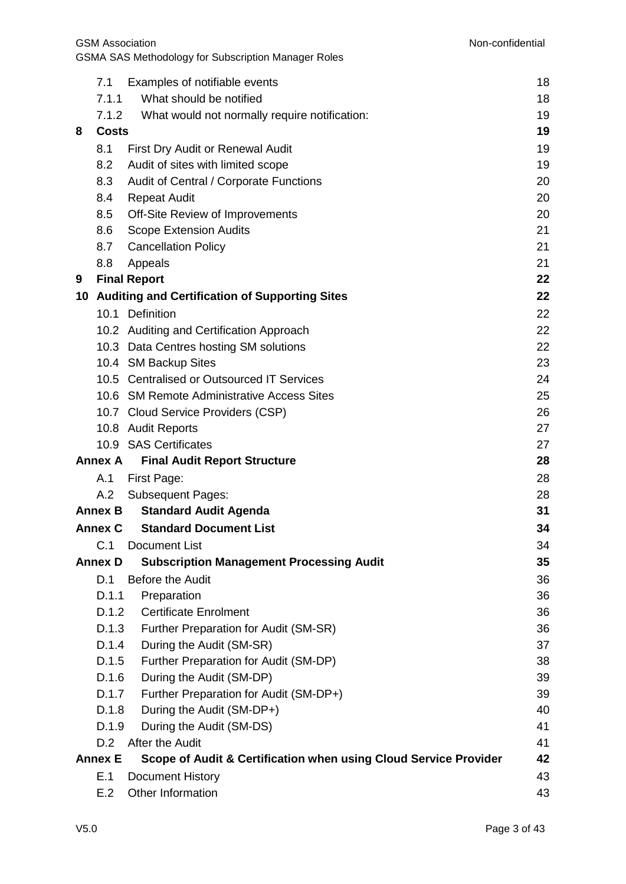|   | 7.1            | Examples of notifiable events                                    | 18 |
|---|----------------|------------------------------------------------------------------|----|
|   | 7.1.1          | What should be notified                                          | 18 |
|   | 7.1.2          | What would not normally require notification:                    | 19 |
| 8 | <b>Costs</b>   |                                                                  | 19 |
|   | 8.1            | First Dry Audit or Renewal Audit                                 | 19 |
|   | 8.2            | Audit of sites with limited scope                                | 19 |
|   | 8.3            | Audit of Central / Corporate Functions                           | 20 |
|   | 8.4            | <b>Repeat Audit</b>                                              | 20 |
|   | 8.5            | Off-Site Review of Improvements                                  | 20 |
|   | 8.6            | <b>Scope Extension Audits</b>                                    | 21 |
|   | 8.7            | <b>Cancellation Policy</b>                                       | 21 |
|   | 8.8            | Appeals                                                          | 21 |
| 9 |                | <b>Final Report</b>                                              | 22 |
|   |                | 10 Auditing and Certification of Supporting Sites                | 22 |
|   |                | 10.1 Definition                                                  | 22 |
|   |                | 10.2 Auditing and Certification Approach                         | 22 |
|   |                | 10.3 Data Centres hosting SM solutions                           | 22 |
|   |                | 10.4 SM Backup Sites                                             | 23 |
|   |                | 10.5 Centralised or Outsourced IT Services                       | 24 |
|   |                | 10.6 SM Remote Administrative Access Sites                       | 25 |
|   |                | 10.7 Cloud Service Providers (CSP)                               | 26 |
|   |                | 10.8 Audit Reports                                               | 27 |
|   |                | 10.9 SAS Certificates                                            | 27 |
|   | <b>Annex A</b> | <b>Final Audit Report Structure</b>                              | 28 |
|   | A.1            | First Page:                                                      | 28 |
|   | A.2            | <b>Subsequent Pages:</b>                                         | 28 |
|   | <b>Annex B</b> | <b>Standard Audit Agenda</b>                                     | 31 |
|   |                | <b>Annex C</b> Standard Document List                            | 34 |
|   | C.1            | <b>Document List</b>                                             | 34 |
|   | <b>Annex D</b> | <b>Subscription Management Processing Audit</b>                  | 35 |
|   | D.1            | Before the Audit                                                 | 36 |
|   | D.1.1          | Preparation                                                      | 36 |
|   | D.1.2          | <b>Certificate Enrolment</b>                                     | 36 |
|   | D.1.3          | Further Preparation for Audit (SM-SR)                            | 36 |
|   | D.1.4          | During the Audit (SM-SR)                                         | 37 |
|   | D.1.5          | Further Preparation for Audit (SM-DP)                            | 38 |
|   | D.1.6          | During the Audit (SM-DP)                                         | 39 |
|   | D.1.7          | Further Preparation for Audit (SM-DP+)                           | 39 |
|   | D.1.8          | During the Audit (SM-DP+)                                        | 40 |
|   | D.1.9          | During the Audit (SM-DS)                                         | 41 |
|   | D.2            | After the Audit                                                  | 41 |
|   | <b>Annex E</b> | Scope of Audit & Certification when using Cloud Service Provider | 42 |
|   | E.1            | <b>Document History</b>                                          | 43 |
|   | E.2            | Other Information                                                | 43 |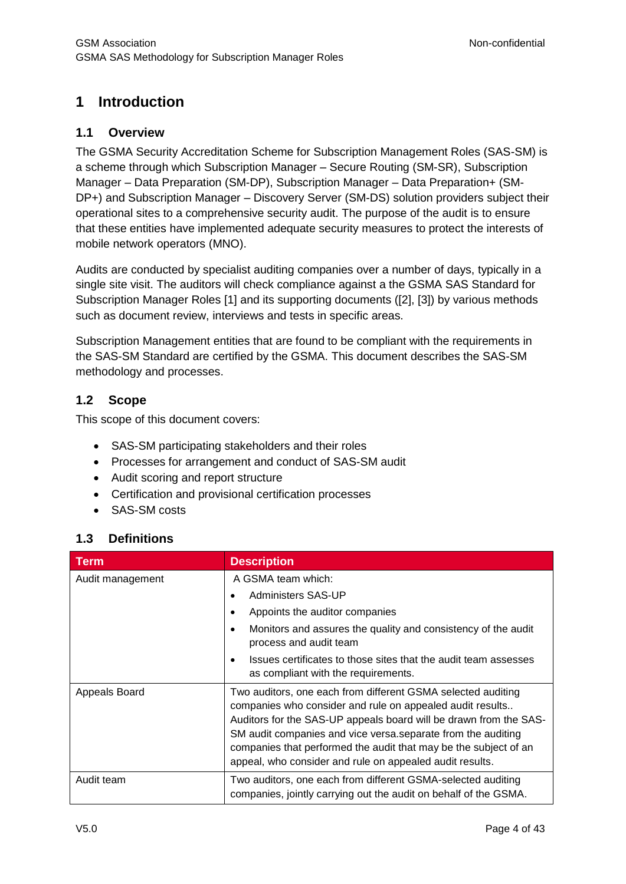## <span id="page-3-0"></span>**1 Introduction**

#### <span id="page-3-1"></span>**1.1 Overview**

The GSMA Security Accreditation Scheme for Subscription Management Roles (SAS-SM) is a scheme through which Subscription Manager – Secure Routing (SM-SR), Subscription Manager – Data Preparation (SM-DP), Subscription Manager – Data Preparation+ (SM-DP+) and Subscription Manager – Discovery Server (SM-DS) solution providers subject their operational sites to a comprehensive security audit. The purpose of the audit is to ensure that these entities have implemented adequate security measures to protect the interests of mobile network operators (MNO).

Audits are conducted by specialist auditing companies over a number of days, typically in a single site visit. The auditors will check compliance against a the GSMA SAS Standard for Subscription Manager Roles [\[1\]](#page-4-2) and its supporting documents [\(\[2\],](#page-5-3) [\[3\]\)](#page-5-4) by various methods such as document review, interviews and tests in specific areas.

Subscription Management entities that are found to be compliant with the requirements in the SAS-SM Standard are certified by the GSMA. This document describes the SAS-SM methodology and processes.

## <span id="page-3-2"></span>**1.2 Scope**

This scope of this document covers:

- SAS-SM participating stakeholders and their roles
- Processes for arrangement and conduct of SAS-SM audit
- Audit scoring and report structure
- Certification and provisional certification processes
- SAS-SM costs

## <span id="page-3-3"></span>**1.3 Definitions**

| <b>Term</b>      | <b>Description</b>                                                                                                                                                                                                                                                                                                                                                                             |  |
|------------------|------------------------------------------------------------------------------------------------------------------------------------------------------------------------------------------------------------------------------------------------------------------------------------------------------------------------------------------------------------------------------------------------|--|
| Audit management | A GSMA team which:                                                                                                                                                                                                                                                                                                                                                                             |  |
|                  | <b>Administers SAS-UP</b>                                                                                                                                                                                                                                                                                                                                                                      |  |
|                  | Appoints the auditor companies                                                                                                                                                                                                                                                                                                                                                                 |  |
|                  | Monitors and assures the quality and consistency of the audit<br>٠<br>process and audit team                                                                                                                                                                                                                                                                                                   |  |
|                  | Issues certificates to those sites that the audit team assesses<br>$\bullet$<br>as compliant with the requirements.                                                                                                                                                                                                                                                                            |  |
| Appeals Board    | Two auditors, one each from different GSMA selected auditing<br>companies who consider and rule on appealed audit results<br>Auditors for the SAS-UP appeals board will be drawn from the SAS-<br>SM audit companies and vice versa.separate from the auditing<br>companies that performed the audit that may be the subject of an<br>appeal, who consider and rule on appealed audit results. |  |
| Audit team       | Two auditors, one each from different GSMA-selected auditing<br>companies, jointly carrying out the audit on behalf of the GSMA.                                                                                                                                                                                                                                                               |  |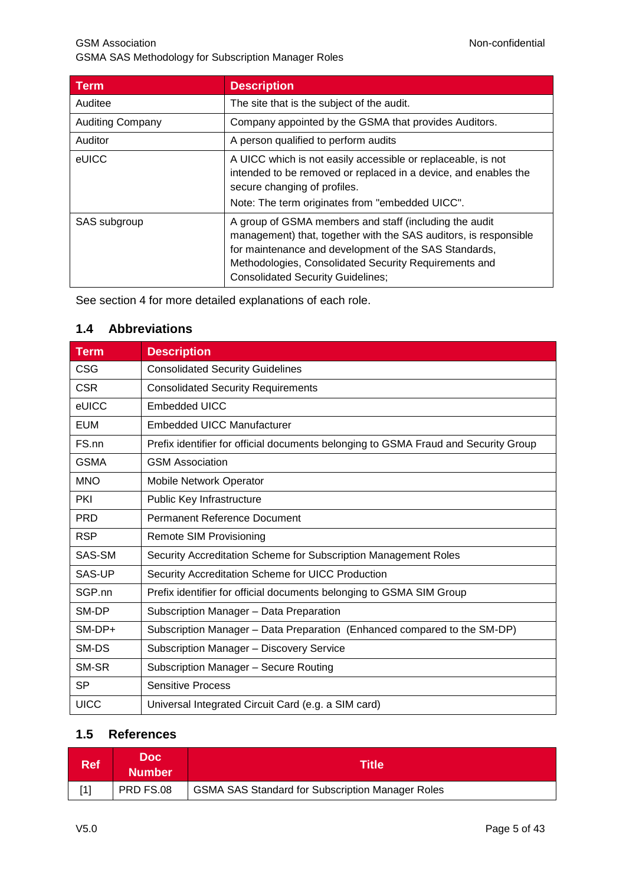GSM Association **Non-confidential** GSMA SAS Methodology for Subscription Manager Roles

| Term                    | <b>Description</b>                                                                                                                                                                                                                                                                       |
|-------------------------|------------------------------------------------------------------------------------------------------------------------------------------------------------------------------------------------------------------------------------------------------------------------------------------|
| Auditee                 | The site that is the subject of the audit.                                                                                                                                                                                                                                               |
| <b>Auditing Company</b> | Company appointed by the GSMA that provides Auditors.                                                                                                                                                                                                                                    |
| Auditor                 | A person qualified to perform audits                                                                                                                                                                                                                                                     |
| eUICC                   | A UICC which is not easily accessible or replaceable, is not<br>intended to be removed or replaced in a device, and enables the<br>secure changing of profiles.<br>Note: The term originates from "embedded UICC".                                                                       |
| SAS subgroup            | A group of GSMA members and staff (including the audit<br>management) that, together with the SAS auditors, is responsible<br>for maintenance and development of the SAS Standards,<br>Methodologies, Consolidated Security Requirements and<br><b>Consolidated Security Guidelines;</b> |

See section [4](#page-10-2) for more detailed explanations of each role.

#### <span id="page-4-0"></span>**1.4 Abbreviations**

| <b>Term</b> | <b>Description</b>                                                                  |
|-------------|-------------------------------------------------------------------------------------|
| <b>CSG</b>  | <b>Consolidated Security Guidelines</b>                                             |
| <b>CSR</b>  | <b>Consolidated Security Requirements</b>                                           |
| eUICC       | <b>Embedded UICC</b>                                                                |
| <b>EUM</b>  | <b>Embedded UICC Manufacturer</b>                                                   |
| FS.nn       | Prefix identifier for official documents belonging to GSMA Fraud and Security Group |
| <b>GSMA</b> | <b>GSM Association</b>                                                              |
| <b>MNO</b>  | Mobile Network Operator                                                             |
| <b>PKI</b>  | Public Key Infrastructure                                                           |
| <b>PRD</b>  | Permanent Reference Document                                                        |
| <b>RSP</b>  | Remote SIM Provisioning                                                             |
| SAS-SM      | Security Accreditation Scheme for Subscription Management Roles                     |
| SAS-UP      | Security Accreditation Scheme for UICC Production                                   |
| SGP.nn      | Prefix identifier for official documents belonging to GSMA SIM Group                |
| SM-DP       | Subscription Manager - Data Preparation                                             |
| SM-DP+      | Subscription Manager - Data Preparation (Enhanced compared to the SM-DP)            |
| SM-DS       | Subscription Manager - Discovery Service                                            |
| SM-SR       | Subscription Manager - Secure Routing                                               |
| <b>SP</b>   | <b>Sensitive Process</b>                                                            |
| <b>UICC</b> | Universal Integrated Circuit Card (e.g. a SIM card)                                 |

## <span id="page-4-1"></span>**1.5 References**

<span id="page-4-2"></span>

| <b>Ref</b> | Doc l<br><b>Number</b> | <b>Title</b>                                            |
|------------|------------------------|---------------------------------------------------------|
| [1]        | PRD FS.08              | <b>GSMA SAS Standard for Subscription Manager Roles</b> |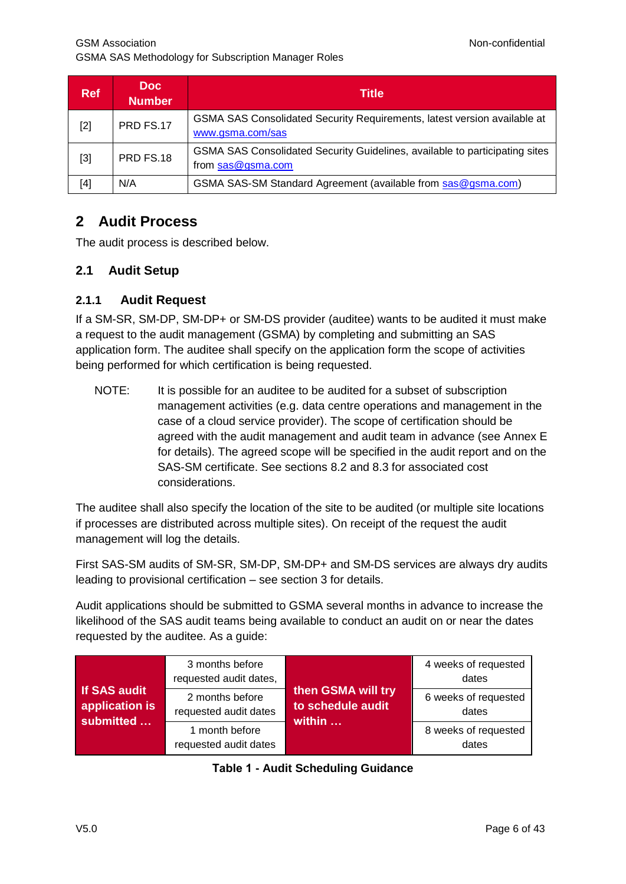<span id="page-5-3"></span>

| <b>Ref</b> | Doc:<br><b>Number</b> | Title                                                                                              |
|------------|-----------------------|----------------------------------------------------------------------------------------------------|
| $[2]$      | PRD FS.17             | GSMA SAS Consolidated Security Requirements, latest version available at<br>www.gsma.com/sas       |
| $[3]$      | PRD FS.18             | GSMA SAS Consolidated Security Guidelines, available to participating sites<br>from $sas@gsma.com$ |
| [4]        | N/A                   | GSMA SAS-SM Standard Agreement (available from sas@gsma.com)                                       |

## <span id="page-5-5"></span><span id="page-5-4"></span><span id="page-5-0"></span>**2 Audit Process**

The audit process is described below.

#### <span id="page-5-1"></span>**2.1 Audit Setup**

#### <span id="page-5-2"></span>**2.1.1 Audit Request**

If a SM-SR, SM-DP, SM-DP+ or SM-DS provider (auditee) wants to be audited it must make a request to the audit management (GSMA) by completing and submitting an SAS application form. The auditee shall specify on the application form the scope of activities being performed for which certification is being requested.

NOTE: It is possible for an auditee to be audited for a subset of subscription management activities (e.g. data centre operations and management in the case of a cloud service provider). The scope of certification should be agreed with the audit management and audit team in advance (see [Annex](#page-41-0) E for details). The agreed scope will be specified in the audit report and on the SAS-SM certificate. See sections [8.2](#page-18-3) and [8.3](#page-19-0) for associated cost considerations.

The auditee shall also specify the location of the site to be audited (or multiple site locations if processes are distributed across multiple sites). On receipt of the request the audit management will log the details.

First SAS-SM audits of SM-SR, SM-DP, SM-DP+ and SM-DS services are always dry audits leading to provisional certification – see section [3](#page-9-0) for details.

Audit applications should be submitted to GSMA several months in advance to increase the likelihood of the SAS audit teams being available to conduct an audit on or near the dates requested by the auditee. As a guide:

|                                                    | 3 months before<br>requested audit dates, |                                                   | 4 weeks of requested<br>dates |
|----------------------------------------------------|-------------------------------------------|---------------------------------------------------|-------------------------------|
| <b>If SAS audit</b><br>application is<br>submitted | 2 months before<br>requested audit dates  | then GSMA will try<br>to schedule audit<br>within | 6 weeks of requested<br>dates |
|                                                    | 1 month before<br>requested audit dates   |                                                   | 8 weeks of requested<br>dates |

|  |  |  | <b>Table 1 - Audit Scheduling Guidance</b> |  |
|--|--|--|--------------------------------------------|--|
|--|--|--|--------------------------------------------|--|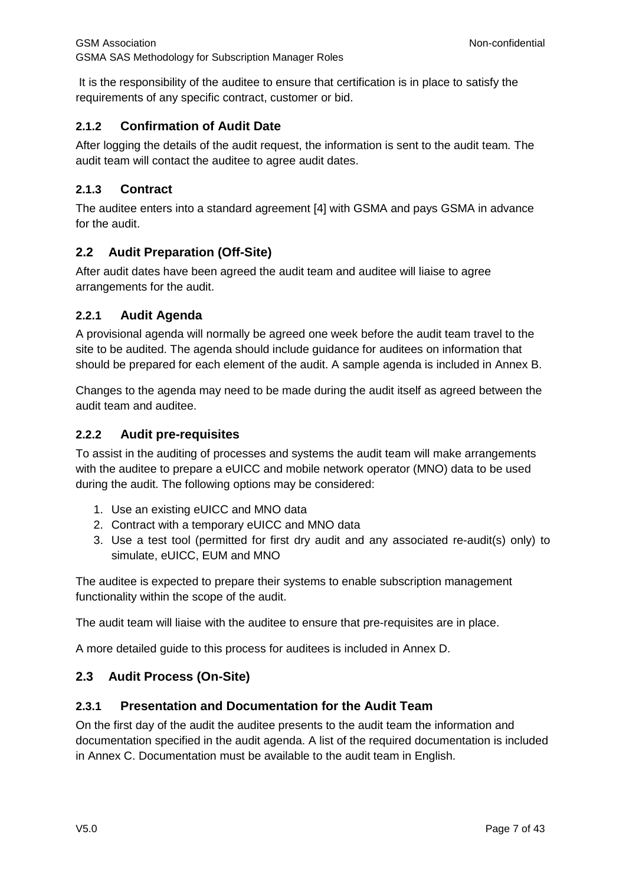It is the responsibility of the auditee to ensure that certification is in place to satisfy the requirements of any specific contract, customer or bid.

#### <span id="page-6-0"></span>**2.1.2 Confirmation of Audit Date**

After logging the details of the audit request, the information is sent to the audit team*.* The audit team will contact the auditee to agree audit dates.

#### <span id="page-6-1"></span>**2.1.3 Contract**

The auditee enters into a standard agreement [\[4\]](#page-5-5) with GSMA and pays GSMA in advance for the audit.

#### <span id="page-6-2"></span>**2.2 Audit Preparation (Off-Site)**

After audit dates have been agreed the audit team and auditee will liaise to agree arrangements for the audit.

#### <span id="page-6-3"></span>**2.2.1 Audit Agenda**

A provisional agenda will normally be agreed one week before the audit team travel to the site to be audited. The agenda should include guidance for auditees on information that should be prepared for each element of the audit. A sample agenda is included in [Annex](#page-30-0) B.

Changes to the agenda may need to be made during the audit itself as agreed between the audit team and auditee.

#### <span id="page-6-4"></span>**2.2.2 Audit pre-requisites**

To assist in the auditing of processes and systems the audit team will make arrangements with the auditee to prepare a eUICC and mobile network operator (MNO) data to be used during the audit. The following options may be considered:

- 1. Use an existing eUICC and MNO data
- 2. Contract with a temporary eUICC and MNO data
- 3. Use a test tool (permitted for first dry audit and any associated re-audit(s) only) to simulate, eUICC, EUM and MNO

The auditee is expected to prepare their systems to enable subscription management functionality within the scope of the audit.

The audit team will liaise with the auditee to ensure that pre-requisites are in place.

A more detailed guide to this process for auditees is included in [Annex](#page-34-0) D.

#### <span id="page-6-5"></span>**2.3 Audit Process (On-Site)**

#### <span id="page-6-6"></span>**2.3.1 Presentation and Documentation for the Audit Team**

On the first day of the audit the auditee presents to the audit team the information and documentation specified in the audit agenda. A list of the required documentation is included in [Annex](#page-33-0) C. Documentation must be available to the audit team in English.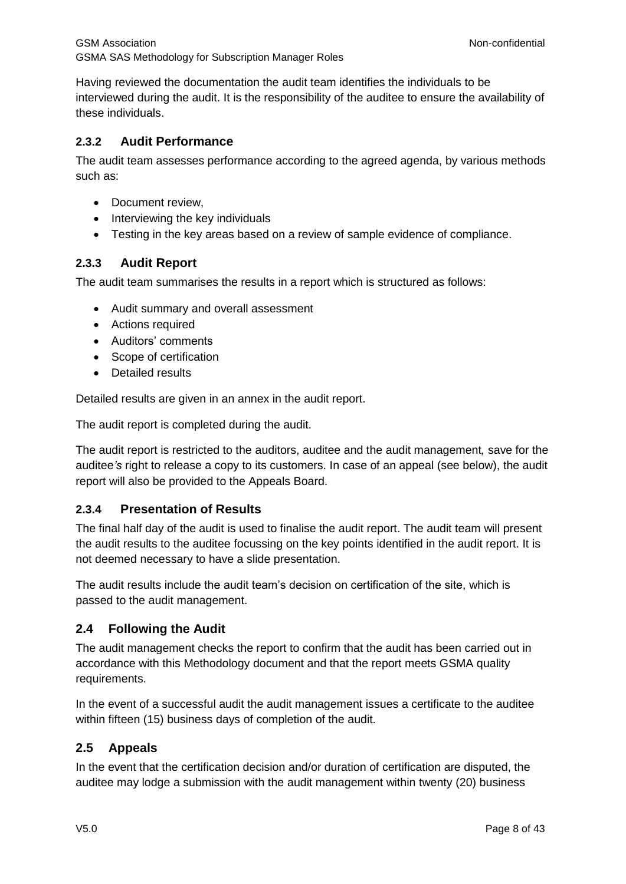Having reviewed the documentation the audit team identifies the individuals to be interviewed during the audit. It is the responsibility of the auditee to ensure the availability of these individuals.

#### <span id="page-7-0"></span>**2.3.2 Audit Performance**

The audit team assesses performance according to the agreed agenda, by various methods such as:

- Document review.
- Interviewing the key individuals
- Testing in the key areas based on a review of sample evidence of compliance.

#### <span id="page-7-1"></span>**2.3.3 Audit Report**

The audit team summarises the results in a report which is structured as follows:

- Audit summary and overall assessment
- Actions required
- Auditors' comments
- Scope of certification
- Detailed results

Detailed results are given in an annex in the audit report.

The audit report is completed during the audit.

The audit report is restricted to the auditors, auditee and the audit management*,* save for the auditee*'s* right to release a copy to its customers. In case of an appeal (see below), the audit report will also be provided to the Appeals Board.

#### <span id="page-7-2"></span>**2.3.4 Presentation of Results**

The final half day of the audit is used to finalise the audit report. The audit team will present the audit results to the auditee focussing on the key points identified in the audit report. It is not deemed necessary to have a slide presentation.

The audit results include the audit team's decision on certification of the site, which is passed to the audit management.

#### <span id="page-7-3"></span>**2.4 Following the Audit**

The audit management checks the report to confirm that the audit has been carried out in accordance with this Methodology document and that the report meets GSMA quality requirements.

In the event of a successful audit the audit management issues a certificate to the auditee within fifteen (15) business days of completion of the audit.

#### <span id="page-7-4"></span>**2.5 Appeals**

In the event that the certification decision and/or duration of certification are disputed, the auditee may lodge a submission with the audit management within twenty (20) business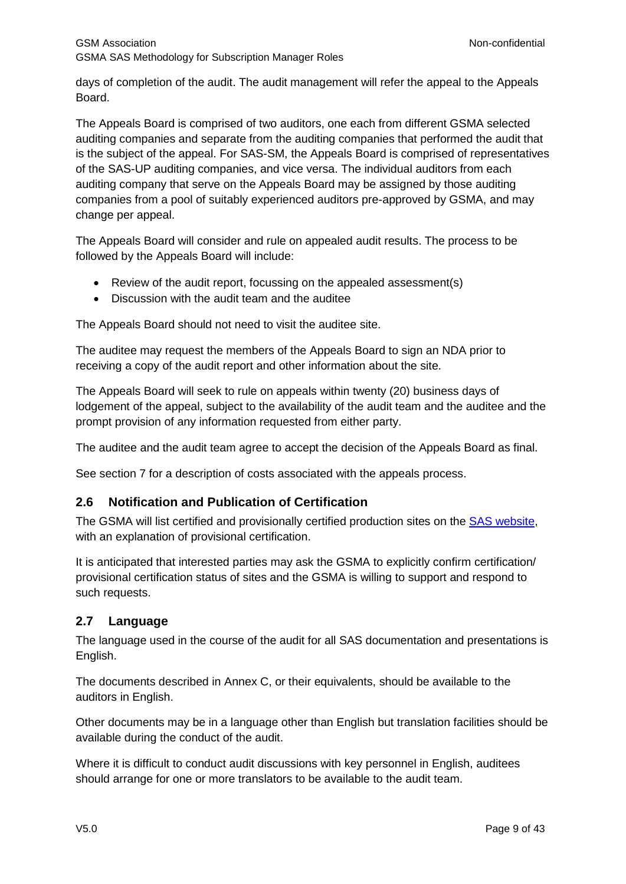days of completion of the audit. The audit management will refer the appeal to the Appeals Board.

The Appeals Board is comprised of two auditors, one each from different GSMA selected auditing companies and separate from the auditing companies that performed the audit that is the subject of the appeal. For SAS-SM, the Appeals Board is comprised of representatives of the SAS-UP auditing companies, and vice versa. The individual auditors from each auditing company that serve on the Appeals Board may be assigned by those auditing companies from a pool of suitably experienced auditors pre-approved by GSMA, and may change per appeal.

The Appeals Board will consider and rule on appealed audit results. The process to be followed by the Appeals Board will include:

- Review of the audit report, focussing on the appealed assessment(s)
- Discussion with the audit team and the auditee

The Appeals Board should not need to visit the auditee site.

The auditee may request the members of the Appeals Board to sign an NDA prior to receiving a copy of the audit report and other information about the site.

The Appeals Board will seek to rule on appeals within twenty (20) business days of lodgement of the appeal, subject to the availability of the audit team and the auditee and the prompt provision of any information requested from either party.

The auditee and the audit team agree to accept the decision of the Appeals Board as final.

See section [7](#page-17-0) for a description of costs associated with the appeals process.

#### <span id="page-8-0"></span>**2.6 Notification and Publication of Certification**

The GSMA will list certified and provisionally certified production sites on the [SAS website,](http://www.gsma.com/sas) with an explanation of provisional certification.

It is anticipated that interested parties may ask the GSMA to explicitly confirm certification/ provisional certification status of sites and the GSMA is willing to support and respond to such requests.

#### <span id="page-8-1"></span>**2.7 Language**

The language used in the course of the audit for all SAS documentation and presentations is English.

The documents described in [Annex](#page-33-0) C, or their equivalents, should be available to the auditors in English.

Other documents may be in a language other than English but translation facilities should be available during the conduct of the audit.

Where it is difficult to conduct audit discussions with key personnel in English, auditees should arrange for one or more translators to be available to the audit team.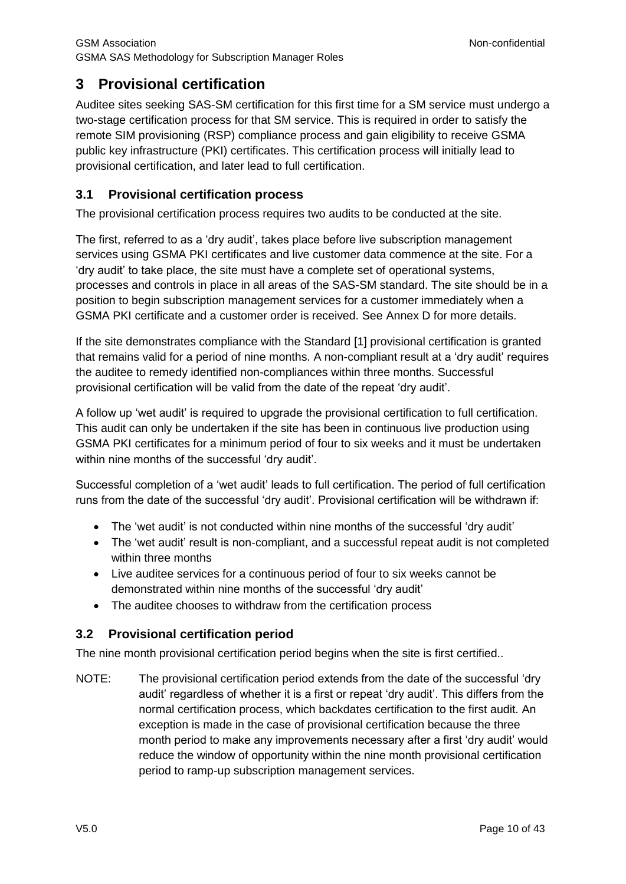## <span id="page-9-0"></span>**3 Provisional certification**

Auditee sites seeking SAS-SM certification for this first time for a SM service must undergo a two-stage certification process for that SM service. This is required in order to satisfy the remote SIM provisioning (RSP) compliance process and gain eligibility to receive GSMA public key infrastructure (PKI) certificates. This certification process will initially lead to provisional certification, and later lead to full certification.

#### <span id="page-9-1"></span>**3.1 Provisional certification process**

The provisional certification process requires two audits to be conducted at the site.

The first, referred to as a 'dry audit', takes place before live subscription management services using GSMA PKI certificates and live customer data commence at the site. For a 'dry audit' to take place, the site must have a complete set of operational systems, processes and controls in place in all areas of the SAS-SM standard. The site should be in a position to begin subscription management services for a customer immediately when a GSMA PKI certificate and a customer order is received. See [Annex](#page-34-0) D for more details.

If the site demonstrates compliance with the Standard [\[1\]](#page-4-2) provisional certification is granted that remains valid for a period of nine months. A non-compliant result at a 'dry audit' requires the auditee to remedy identified non-compliances within three months. Successful provisional certification will be valid from the date of the repeat 'dry audit'.

A follow up 'wet audit' is required to upgrade the provisional certification to full certification. This audit can only be undertaken if the site has been in continuous live production using GSMA PKI certificates for a minimum period of four to six weeks and it must be undertaken within nine months of the successful 'dry audit'.

Successful completion of a 'wet audit' leads to full certification. The period of full certification runs from the date of the successful 'dry audit'. Provisional certification will be withdrawn if:

- The 'wet audit' is not conducted within nine months of the successful 'dry audit'
- The 'wet audit' result is non-compliant, and a successful repeat audit is not completed within three months
- Live auditee services for a continuous period of four to six weeks cannot be demonstrated within nine months of the successful 'dry audit'
- The auditee chooses to withdraw from the certification process

## <span id="page-9-2"></span>**3.2 Provisional certification period**

The nine month provisional certification period begins when the site is first certified..

NOTE: The provisional certification period extends from the date of the successful 'dry audit' regardless of whether it is a first or repeat 'dry audit'. This differs from the normal certification process, which backdates certification to the first audit. An exception is made in the case of provisional certification because the three month period to make any improvements necessary after a first 'dry audit' would reduce the window of opportunity within the nine month provisional certification period to ramp-up subscription management services.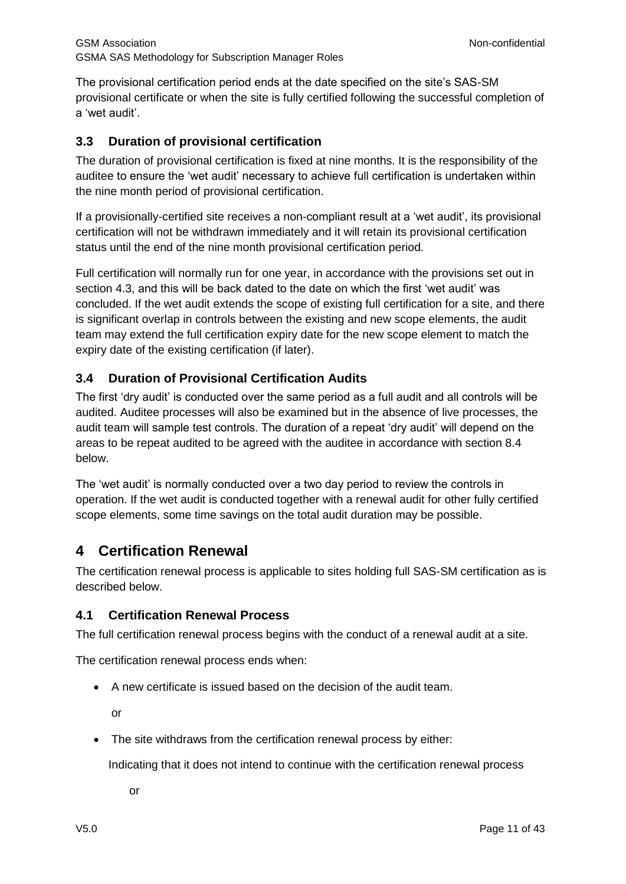The provisional certification period ends at the date specified on the site's SAS-SM provisional certificate or when the site is fully certified following the successful completion of a 'wet audit'.

#### <span id="page-10-0"></span>**3.3 Duration of provisional certification**

The duration of provisional certification is fixed at nine months. It is the responsibility of the auditee to ensure the 'wet audit' necessary to achieve full certification is undertaken within the nine month period of provisional certification.

If a provisionally-certified site receives a non-compliant result at a 'wet audit', its provisional certification will not be withdrawn immediately and it will retain its provisional certification status until the end of the nine month provisional certification period.

Full certification will normally run for one year, in accordance with the provisions set out in section [4.3,](#page-12-0) and this will be back dated to the date on which the first 'wet audit' was concluded. If the wet audit extends the scope of existing full certification for a site, and there is significant overlap in controls between the existing and new scope elements, the audit team may extend the full certification expiry date for the new scope element to match the expiry date of the existing certification (if later).

## <span id="page-10-1"></span>**3.4 Duration of Provisional Certification Audits**

The first 'dry audit' is conducted over the same period as a full audit and all controls will be audited. Auditee processes will also be examined but in the absence of live processes, the audit team will sample test controls. The duration of a repeat 'dry audit' will depend on the areas to be repeat audited to be agreed with the auditee in accordance with section 8.4 below.

The 'wet audit' is normally conducted over a two day period to review the controls in operation. If the wet audit is conducted together with a renewal audit for other fully certified scope elements, some time savings on the total audit duration may be possible.

## <span id="page-10-2"></span>**4 Certification Renewal**

The certification renewal process is applicable to sites holding full SAS-SM certification as is described below.

#### <span id="page-10-3"></span>**4.1 Certification Renewal Process**

The full certification renewal process begins with the conduct of a renewal audit at a site.

The certification renewal process ends when:

A new certificate is issued based on the decision of the audit team.

or

• The site withdraws from the certification renewal process by either:

Indicating that it does not intend to continue with the certification renewal process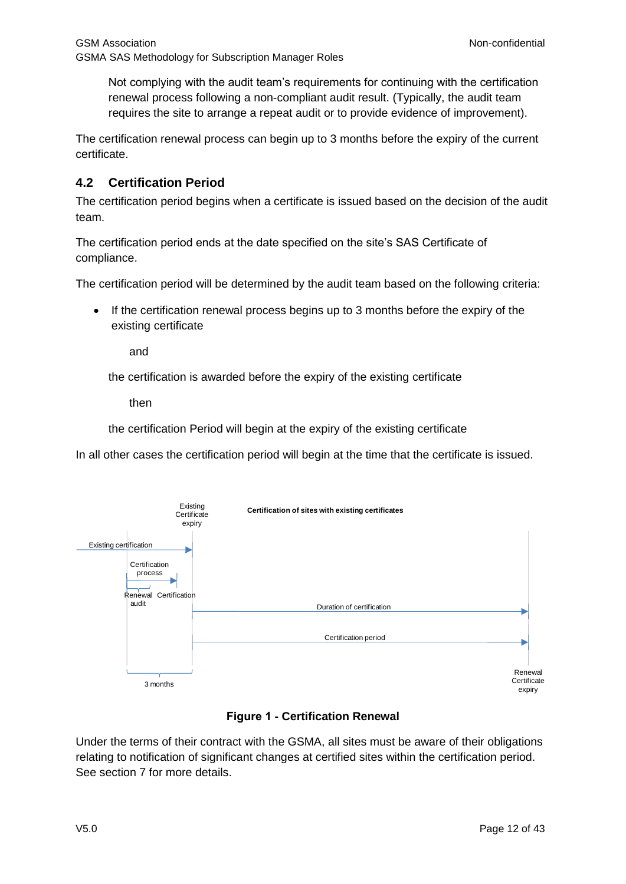Not complying with the audit team's requirements for continuing with the certification renewal process following a non-compliant audit result. (Typically, the audit team requires the site to arrange a repeat audit or to provide evidence of improvement).

The certification renewal process can begin up to 3 months before the expiry of the current certificate.

#### <span id="page-11-0"></span>**4.2 Certification Period**

The certification period begins when a certificate is issued based on the decision of the audit team.

The certification period ends at the date specified on the site's SAS Certificate of compliance.

The certification period will be determined by the audit team based on the following criteria:

• If the certification renewal process begins up to 3 months before the expiry of the existing certificate

and

the certification is awarded before the expiry of the existing certificate

then

the certification Period will begin at the expiry of the existing certificate

In all other cases the certification period will begin at the time that the certificate is issued.



#### **Figure 1 - Certification Renewal**

Under the terms of their contract with the GSMA, all sites must be aware of their obligations relating to notification of significant changes at certified sites within the certification period. See section [7](#page-17-0) for more details.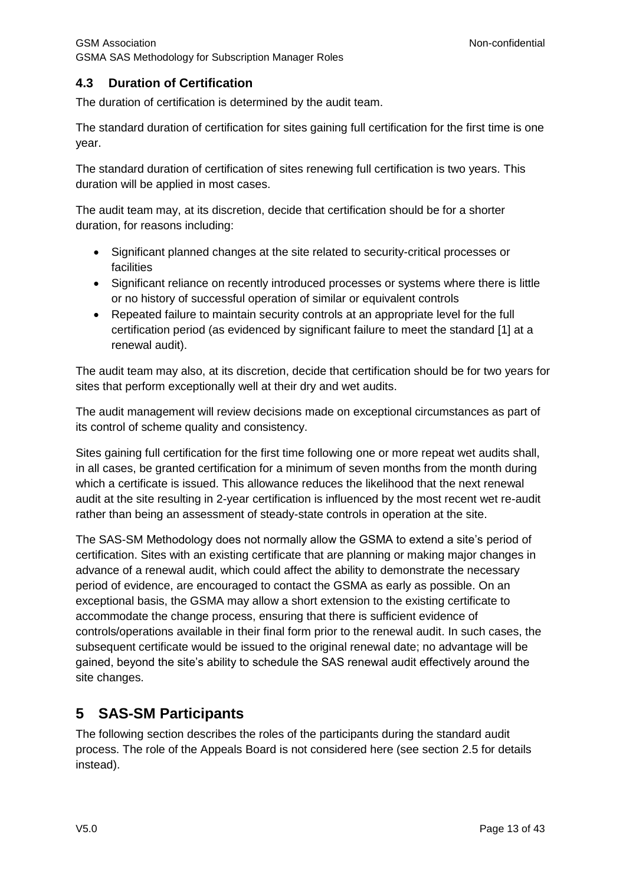## <span id="page-12-0"></span>**4.3 Duration of Certification**

The duration of certification is determined by the audit team.

The standard duration of certification for sites gaining full certification for the first time is one year.

The standard duration of certification of sites renewing full certification is two years. This duration will be applied in most cases.

The audit team may, at its discretion, decide that certification should be for a shorter duration, for reasons including:

- Significant planned changes at the site related to security-critical processes or facilities
- Significant reliance on recently introduced processes or systems where there is little or no history of successful operation of similar or equivalent controls
- Repeated failure to maintain security controls at an appropriate level for the full certification period (as evidenced by significant failure to meet the standard [\[1\]](#page-4-2) at a renewal audit).

The audit team may also, at its discretion, decide that certification should be for two years for sites that perform exceptionally well at their dry and wet audits.

The audit management will review decisions made on exceptional circumstances as part of its control of scheme quality and consistency.

Sites gaining full certification for the first time following one or more repeat wet audits shall, in all cases, be granted certification for a minimum of seven months from the month during which a certificate is issued. This allowance reduces the likelihood that the next renewal audit at the site resulting in 2-year certification is influenced by the most recent wet re-audit rather than being an assessment of steady-state controls in operation at the site.

The SAS-SM Methodology does not normally allow the GSMA to extend a site's period of certification. Sites with an existing certificate that are planning or making major changes in advance of a renewal audit, which could affect the ability to demonstrate the necessary period of evidence, are encouraged to contact the GSMA as early as possible. On an exceptional basis, the GSMA may allow a short extension to the existing certificate to accommodate the change process, ensuring that there is sufficient evidence of controls/operations available in their final form prior to the renewal audit. In such cases, the subsequent certificate would be issued to the original renewal date; no advantage will be gained, beyond the site's ability to schedule the SAS renewal audit effectively around the site changes.

## <span id="page-12-1"></span>**5 SAS-SM Participants**

The following section describes the roles of the participants during the standard audit process. The role of the Appeals Board is not considered here (see section [2.5](#page-7-4) for details instead).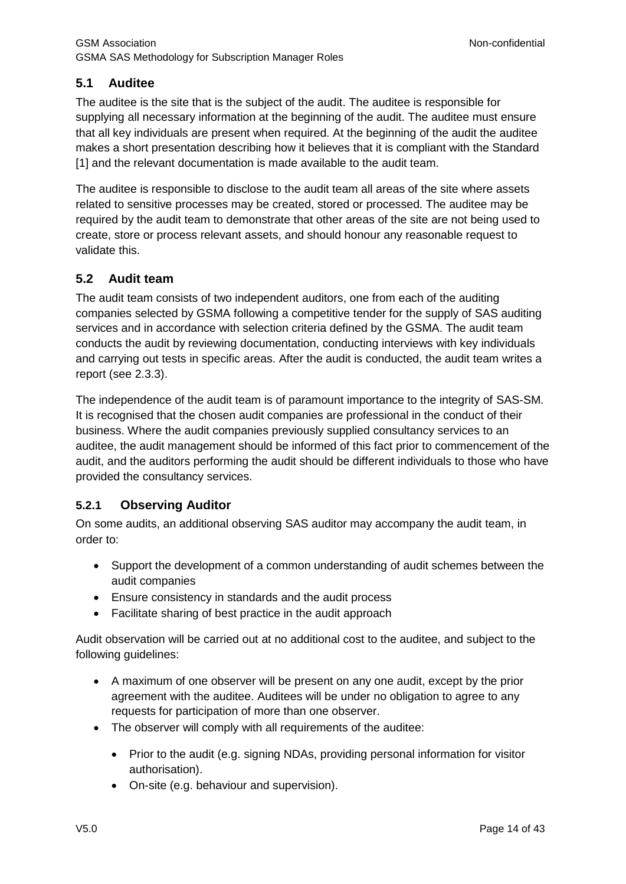## <span id="page-13-0"></span>**5.1 Auditee**

The auditee is the site that is the subject of the audit. The auditee is responsible for supplying all necessary information at the beginning of the audit. The auditee must ensure that all key individuals are present when required. At the beginning of the audit the auditee makes a short presentation describing how it believes that it is compliant with the Standard [\[1\]](#page-4-2) and the relevant documentation is made available to the audit team.

The auditee is responsible to disclose to the audit team all areas of the site where assets related to sensitive processes may be created, stored or processed. The auditee may be required by the audit team to demonstrate that other areas of the site are not being used to create, store or process relevant assets, and should honour any reasonable request to validate this.

#### <span id="page-13-1"></span>**5.2 Audit team**

The audit team consists of two independent auditors, one from each of the auditing companies selected by GSMA following a competitive tender for the supply of SAS auditing services and in accordance with selection criteria defined by the GSMA. The audit team conducts the audit by reviewing documentation, conducting interviews with key individuals and carrying out tests in specific areas. After the audit is conducted, the audit team writes a report (see [2.3.3\)](#page-7-1).

The independence of the audit team is of paramount importance to the integrity of SAS-SM. It is recognised that the chosen audit companies are professional in the conduct of their business. Where the audit companies previously supplied consultancy services to an auditee, the audit management should be informed of this fact prior to commencement of the audit, and the auditors performing the audit should be different individuals to those who have provided the consultancy services.

## <span id="page-13-2"></span>**5.2.1 Observing Auditor**

On some audits, an additional observing SAS auditor may accompany the audit team, in order to:

- Support the development of a common understanding of audit schemes between the audit companies
- Ensure consistency in standards and the audit process
- Facilitate sharing of best practice in the audit approach

Audit observation will be carried out at no additional cost to the auditee, and subject to the following guidelines:

- A maximum of one observer will be present on any one audit, except by the prior agreement with the auditee. Auditees will be under no obligation to agree to any requests for participation of more than one observer.
- The observer will comply with all requirements of the auditee:
	- Prior to the audit (e.g. signing NDAs, providing personal information for visitor authorisation).
	- On-site (e.g. behaviour and supervision).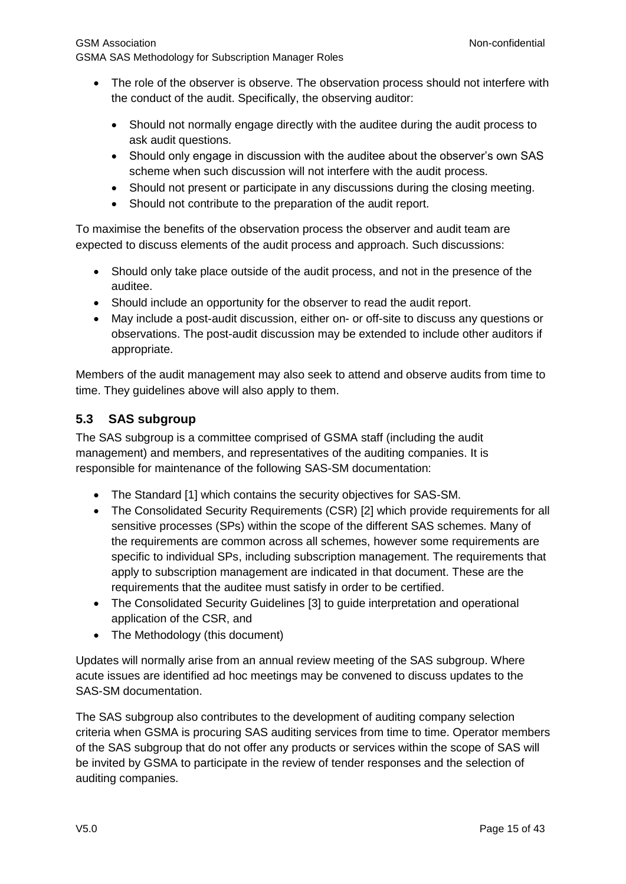GSMA SAS Methodology for Subscription Manager Roles

- The role of the observer is observe. The observation process should not interfere with the conduct of the audit. Specifically, the observing auditor:
	- Should not normally engage directly with the auditee during the audit process to ask audit questions.
	- Should only engage in discussion with the auditee about the observer's own SAS scheme when such discussion will not interfere with the audit process.
	- Should not present or participate in any discussions during the closing meeting.
	- Should not contribute to the preparation of the audit report.

To maximise the benefits of the observation process the observer and audit team are expected to discuss elements of the audit process and approach. Such discussions:

- Should only take place outside of the audit process, and not in the presence of the auditee.
- Should include an opportunity for the observer to read the audit report.
- May include a post-audit discussion, either on- or off-site to discuss any questions or observations. The post-audit discussion may be extended to include other auditors if appropriate.

Members of the audit management may also seek to attend and observe audits from time to time. They guidelines above will also apply to them.

## <span id="page-14-0"></span>**5.3 SAS subgroup**

The SAS subgroup is a committee comprised of GSMA staff (including the audit management) and members, and representatives of the auditing companies. It is responsible for maintenance of the following SAS-SM documentation:

- The Standard [\[1\]](#page-4-2) which contains the security objectives for SAS-SM.
- The Consolidated Security Requirements (CSR) [\[2\]](#page-5-3) which provide requirements for all sensitive processes (SPs) within the scope of the different SAS schemes. Many of the requirements are common across all schemes, however some requirements are specific to individual SPs, including subscription management. The requirements that apply to subscription management are indicated in that document. These are the requirements that the auditee must satisfy in order to be certified.
- The Consolidated Security Guidelines [\[3\]](#page-5-4) to guide interpretation and operational application of the CSR, and
- The Methodology (this document)

Updates will normally arise from an annual review meeting of the SAS subgroup. Where acute issues are identified ad hoc meetings may be convened to discuss updates to the SAS-SM documentation.

The SAS subgroup also contributes to the development of auditing company selection criteria when GSMA is procuring SAS auditing services from time to time. Operator members of the SAS subgroup that do not offer any products or services within the scope of SAS will be invited by GSMA to participate in the review of tender responses and the selection of auditing companies.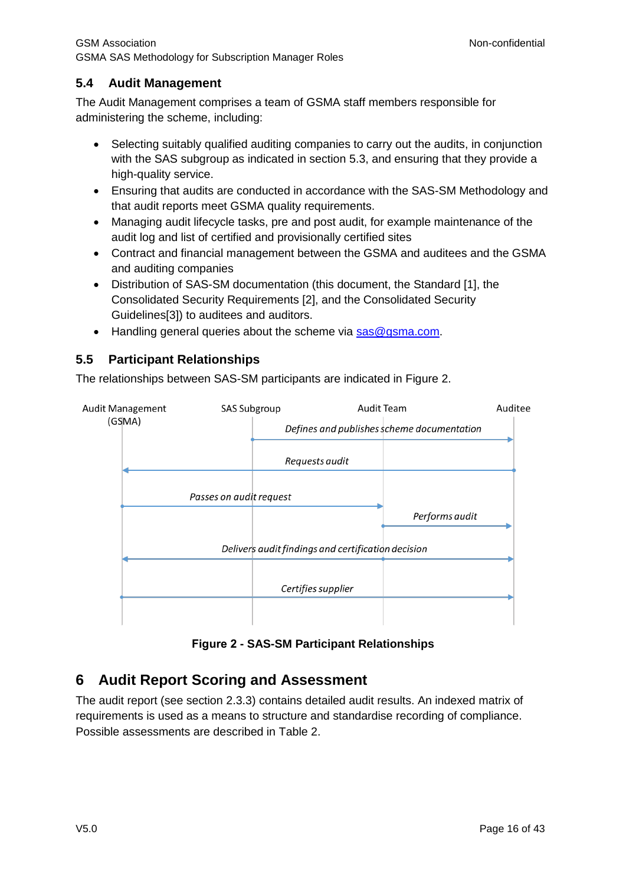## <span id="page-15-0"></span>**5.4 Audit Management**

The Audit Management comprises a team of GSMA staff members responsible for administering the scheme, including:

- Selecting suitably qualified auditing companies to carry out the audits, in conjunction with the SAS subgroup as indicated in section [5.3,](#page-14-0) and ensuring that they provide a high-quality service.
- Ensuring that audits are conducted in accordance with the SAS-SM Methodology and that audit reports meet GSMA quality requirements.
- Managing audit lifecycle tasks, pre and post audit, for example maintenance of the audit log and list of certified and provisionally certified sites
- Contract and financial management between the GSMA and auditees and the GSMA and auditing companies
- Distribution of SAS-SM documentation (this document, the Standard [\[1\],](#page-4-2) the Consolidated Security Requirements [\[2\],](#page-5-3) and the Consolidated Security Guideline[s\[3\]\)](#page-5-4) to auditees and auditors.
- Handling general queries about the scheme via [sas@gsma.com.](mailto:sas@gsma.com)

## <span id="page-15-1"></span>**5.5 Participant Relationships**

The relationships between SAS-SM participants are indicated in [Figure 2.](#page-15-3)



**Figure 2 - SAS-SM Participant Relationships**

## <span id="page-15-3"></span><span id="page-15-2"></span>**6 Audit Report Scoring and Assessment**

The audit report (see section [2.3.3\)](#page-7-1) contains detailed audit results. An indexed matrix of requirements is used as a means to structure and standardise recording of compliance. Possible assessments are described in [Table 2.](#page-16-1)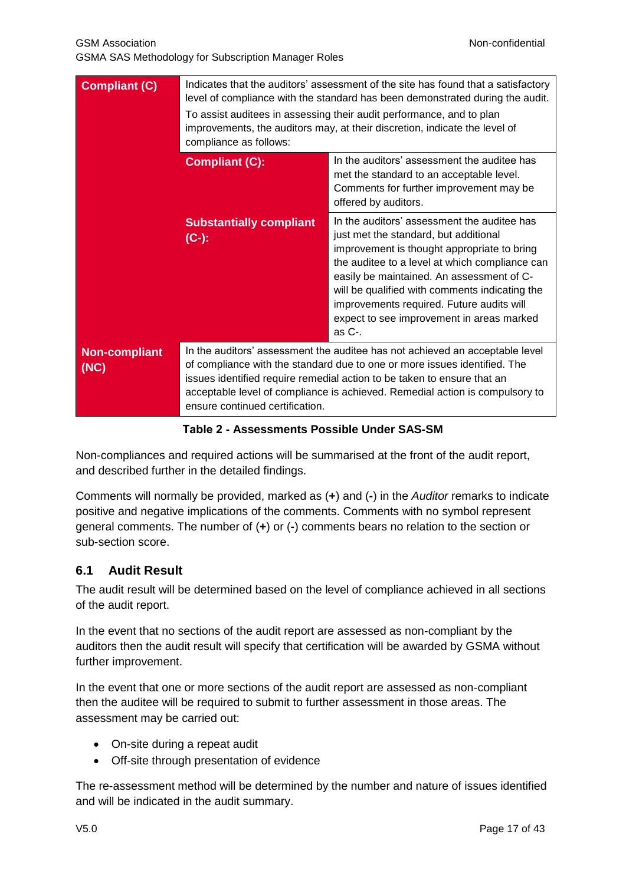| <b>Compliant (C)</b>         | Indicates that the auditors' assessment of the site has found that a satisfactory<br>level of compliance with the standard has been demonstrated during the audit.<br>To assist auditees in assessing their audit performance, and to plan<br>improvements, the auditors may, at their discretion, indicate the level of<br>compliance as follows:      |                                                                                                                                                                                                                                                                                                                                                                                             |
|------------------------------|---------------------------------------------------------------------------------------------------------------------------------------------------------------------------------------------------------------------------------------------------------------------------------------------------------------------------------------------------------|---------------------------------------------------------------------------------------------------------------------------------------------------------------------------------------------------------------------------------------------------------------------------------------------------------------------------------------------------------------------------------------------|
|                              | In the auditors' assessment the auditee has<br><b>Compliant (C):</b><br>met the standard to an acceptable level.<br>Comments for further improvement may be<br>offered by auditors.                                                                                                                                                                     |                                                                                                                                                                                                                                                                                                                                                                                             |
|                              | <b>Substantially compliant</b><br>$(C-)$ :                                                                                                                                                                                                                                                                                                              | In the auditors' assessment the auditee has<br>just met the standard, but additional<br>improvement is thought appropriate to bring<br>the auditee to a level at which compliance can<br>easily be maintained. An assessment of C-<br>will be qualified with comments indicating the<br>improvements required. Future audits will<br>expect to see improvement in areas marked<br>as $C$ -. |
| <b>Non-compliant</b><br>(NC) | In the auditors' assessment the auditee has not achieved an acceptable level<br>of compliance with the standard due to one or more issues identified. The<br>issues identified require remedial action to be taken to ensure that an<br>acceptable level of compliance is achieved. Remedial action is compulsory to<br>ensure continued certification. |                                                                                                                                                                                                                                                                                                                                                                                             |

<span id="page-16-1"></span>**Table 2 - Assessments Possible Under SAS-SM**

Non-compliances and required actions will be summarised at the front of the audit report, and described further in the detailed findings.

Comments will normally be provided, marked as (**+**) and (**-**) in the *Auditor* remarks to indicate positive and negative implications of the comments. Comments with no symbol represent general comments. The number of (**+**) or (**-**) comments bears no relation to the section or sub-section score.

## <span id="page-16-0"></span>**6.1 Audit Result**

The audit result will be determined based on the level of compliance achieved in all sections of the audit report.

In the event that no sections of the audit report are assessed as non-compliant by the auditors then the audit result will specify that certification will be awarded by GSMA without further improvement.

In the event that one or more sections of the audit report are assessed as non-compliant then the auditee will be required to submit to further assessment in those areas. The assessment may be carried out:

- On-site during a repeat audit
- Off-site through presentation of evidence

The re-assessment method will be determined by the number and nature of issues identified and will be indicated in the audit summary.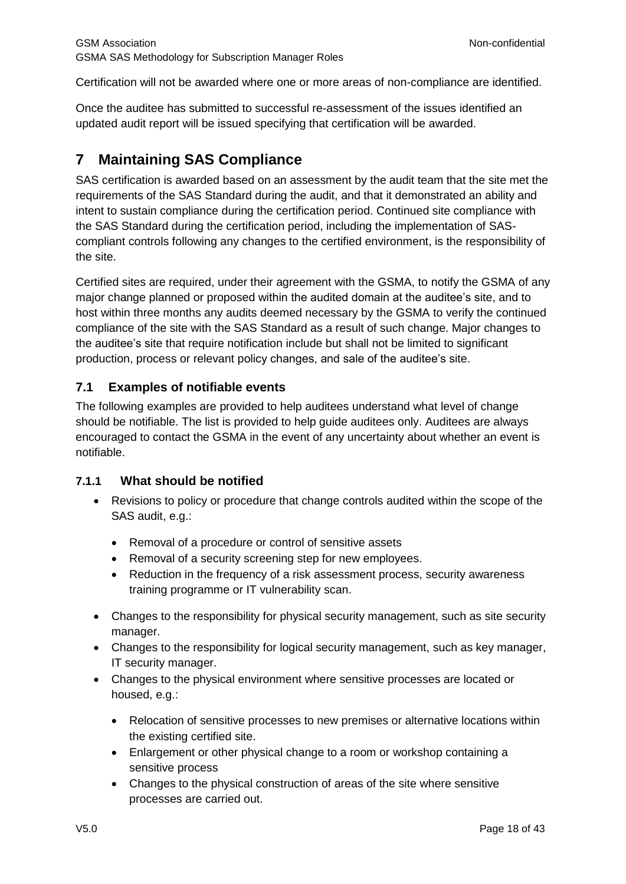Certification will not be awarded where one or more areas of non-compliance are identified.

Once the auditee has submitted to successful re-assessment of the issues identified an updated audit report will be issued specifying that certification will be awarded.

## <span id="page-17-0"></span>**7 Maintaining SAS Compliance**

SAS certification is awarded based on an assessment by the audit team that the site met the requirements of the SAS Standard during the audit, and that it demonstrated an ability and intent to sustain compliance during the certification period. Continued site compliance with the SAS Standard during the certification period, including the implementation of SAScompliant controls following any changes to the certified environment, is the responsibility of the site.

Certified sites are required, under their agreement with the GSMA, to notify the GSMA of any major change planned or proposed within the audited domain at the auditee's site, and to host within three months any audits deemed necessary by the GSMA to verify the continued compliance of the site with the SAS Standard as a result of such change. Major changes to the auditee's site that require notification include but shall not be limited to significant production, process or relevant policy changes, and sale of the auditee's site.

#### <span id="page-17-1"></span>**7.1 Examples of notifiable events**

The following examples are provided to help auditees understand what level of change should be notifiable. The list is provided to help guide auditees only. Auditees are always encouraged to contact the GSMA in the event of any uncertainty about whether an event is notifiable.

#### <span id="page-17-2"></span>**7.1.1 What should be notified**

- Revisions to policy or procedure that change controls audited within the scope of the SAS audit, e.g.:
	- Removal of a procedure or control of sensitive assets
	- Removal of a security screening step for new employees.
	- Reduction in the frequency of a risk assessment process, security awareness training programme or IT vulnerability scan.
- Changes to the responsibility for physical security management, such as site security manager.
- Changes to the responsibility for logical security management, such as key manager, IT security manager.
- Changes to the physical environment where sensitive processes are located or housed, e.g.:
	- Relocation of sensitive processes to new premises or alternative locations within the existing certified site.
	- Enlargement or other physical change to a room or workshop containing a sensitive process
	- Changes to the physical construction of areas of the site where sensitive processes are carried out.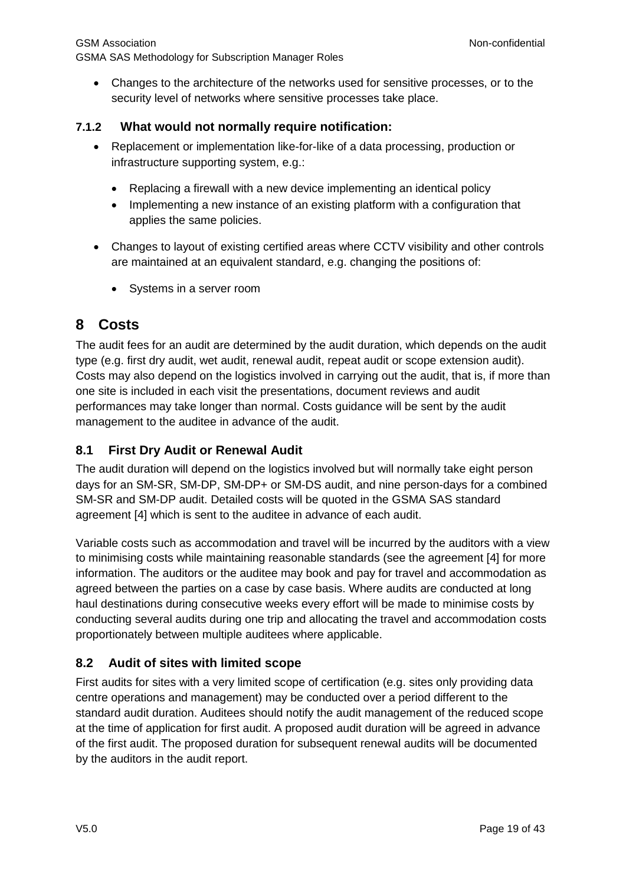Changes to the architecture of the networks used for sensitive processes, or to the security level of networks where sensitive processes take place.

#### <span id="page-18-0"></span>**7.1.2 What would not normally require notification:**

- Replacement or implementation like-for-like of a data processing, production or infrastructure supporting system, e.g.:
	- Replacing a firewall with a new device implementing an identical policy
	- Implementing a new instance of an existing platform with a configuration that applies the same policies.
- Changes to layout of existing certified areas where CCTV visibility and other controls are maintained at an equivalent standard, e.g. changing the positions of:
	- Systems in a server room

## <span id="page-18-1"></span>**8 Costs**

The audit fees for an audit are determined by the audit duration, which depends on the audit type (e.g. first dry audit, wet audit, renewal audit, repeat audit or scope extension audit). Costs may also depend on the logistics involved in carrying out the audit, that is, if more than one site is included in each visit the presentations, document reviews and audit performances may take longer than normal. Costs guidance will be sent by the audit management to the auditee in advance of the audit.

## <span id="page-18-2"></span>**8.1 First Dry Audit or Renewal Audit**

The audit duration will depend on the logistics involved but will normally take eight person days for an SM-SR, SM-DP, SM-DP+ or SM-DS audit, and nine person-days for a combined SM-SR and SM-DP audit. Detailed costs will be quoted in the GSMA SAS standard agreement [\[4\]](#page-5-5) which is sent to the auditee in advance of each audit.

Variable costs such as accommodation and travel will be incurred by the auditors with a view to minimising costs while maintaining reasonable standards (see the agreement [\[4\]](#page-5-5) for more information. The auditors or the auditee may book and pay for travel and accommodation as agreed between the parties on a case by case basis. Where audits are conducted at long haul destinations during consecutive weeks every effort will be made to minimise costs by conducting several audits during one trip and allocating the travel and accommodation costs proportionately between multiple auditees where applicable.

## <span id="page-18-3"></span>**8.2 Audit of sites with limited scope**

First audits for sites with a very limited scope of certification (e.g. sites only providing data centre operations and management) may be conducted over a period different to the standard audit duration. Auditees should notify the audit management of the reduced scope at the time of application for first audit. A proposed audit duration will be agreed in advance of the first audit. The proposed duration for subsequent renewal audits will be documented by the auditors in the audit report.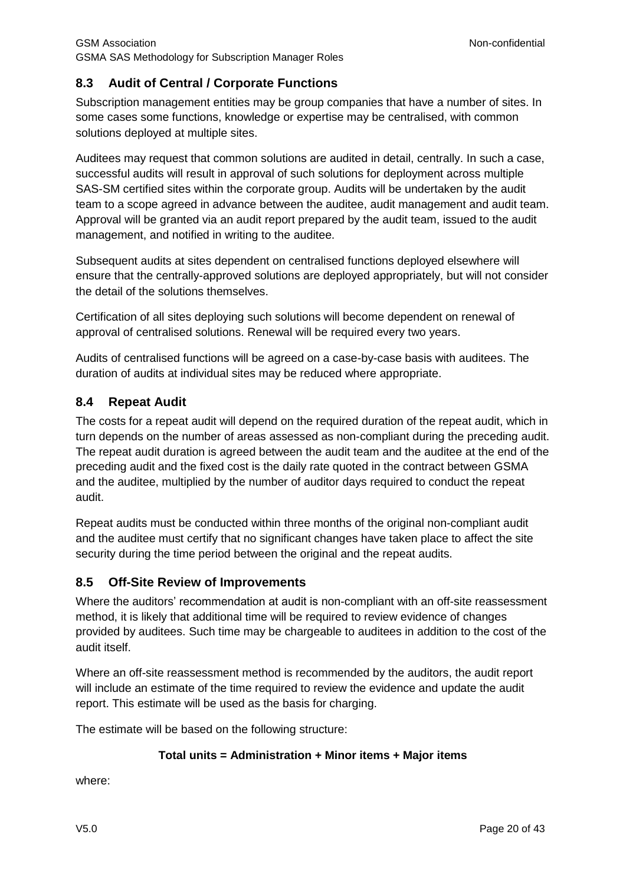## <span id="page-19-0"></span>**8.3 Audit of Central / Corporate Functions**

Subscription management entities may be group companies that have a number of sites. In some cases some functions, knowledge or expertise may be centralised, with common solutions deployed at multiple sites.

Auditees may request that common solutions are audited in detail, centrally. In such a case, successful audits will result in approval of such solutions for deployment across multiple SAS-SM certified sites within the corporate group. Audits will be undertaken by the audit team to a scope agreed in advance between the auditee, audit management and audit team. Approval will be granted via an audit report prepared by the audit team, issued to the audit management, and notified in writing to the auditee.

Subsequent audits at sites dependent on centralised functions deployed elsewhere will ensure that the centrally-approved solutions are deployed appropriately, but will not consider the detail of the solutions themselves.

Certification of all sites deploying such solutions will become dependent on renewal of approval of centralised solutions. Renewal will be required every two years.

Audits of centralised functions will be agreed on a case-by-case basis with auditees. The duration of audits at individual sites may be reduced where appropriate.

#### <span id="page-19-1"></span>**8.4 Repeat Audit**

The costs for a repeat audit will depend on the required duration of the repeat audit, which in turn depends on the number of areas assessed as non-compliant during the preceding audit. The repeat audit duration is agreed between the audit team and the auditee at the end of the preceding audit and the fixed cost is the daily rate quoted in the contract between GSMA and the auditee, multiplied by the number of auditor days required to conduct the repeat audit.

Repeat audits must be conducted within three months of the original non-compliant audit and the auditee must certify that no significant changes have taken place to affect the site security during the time period between the original and the repeat audits.

#### <span id="page-19-2"></span>**8.5 Off-Site Review of Improvements**

Where the auditors' recommendation at audit is non-compliant with an off-site reassessment method, it is likely that additional time will be required to review evidence of changes provided by auditees. Such time may be chargeable to auditees in addition to the cost of the audit itself.

Where an off-site reassessment method is recommended by the auditors, the audit report will include an estimate of the time required to review the evidence and update the audit report. This estimate will be used as the basis for charging.

The estimate will be based on the following structure:

#### **Total units = Administration + Minor items + Major items**

where: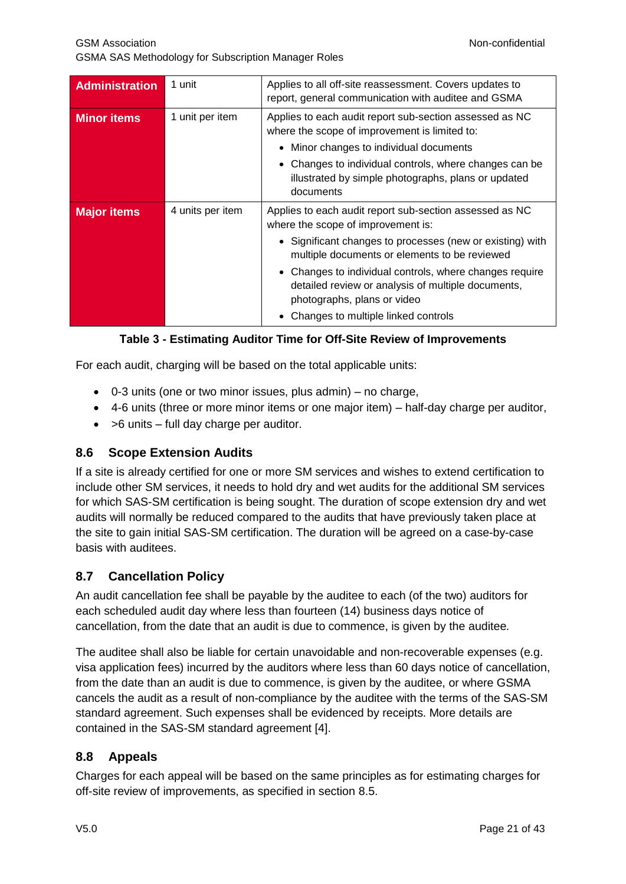| <b>Administration</b> | 1 unit           | Applies to all off-site reassessment. Covers updates to<br>report, general communication with auditee and GSMA                                    |
|-----------------------|------------------|---------------------------------------------------------------------------------------------------------------------------------------------------|
| <b>Minor items</b>    | 1 unit per item  | Applies to each audit report sub-section assessed as NC<br>where the scope of improvement is limited to:<br>Minor changes to individual documents |
|                       |                  | Changes to individual controls, where changes can be<br>illustrated by simple photographs, plans or updated<br>documents                          |
| <b>Major items</b>    | 4 units per item | Applies to each audit report sub-section assessed as NC<br>where the scope of improvement is:                                                     |
|                       |                  | • Significant changes to processes (new or existing) with<br>multiple documents or elements to be reviewed                                        |
|                       |                  | Changes to individual controls, where changes require<br>detailed review or analysis of multiple documents,<br>photographs, plans or video        |
|                       |                  | Changes to multiple linked controls                                                                                                               |

#### **Table 3 - Estimating Auditor Time for Off-Site Review of Improvements**

For each audit, charging will be based on the total applicable units:

- $\bullet$  0-3 units (one or two minor issues, plus admin) no charge,
- 4-6 units (three or more minor items or one major item) half-day charge per auditor,
- $\bullet$  >6 units full day charge per auditor.

#### <span id="page-20-0"></span>**8.6 Scope Extension Audits**

If a site is already certified for one or more SM services and wishes to extend certification to include other SM services, it needs to hold dry and wet audits for the additional SM services for which SAS-SM certification is being sought. The duration of scope extension dry and wet audits will normally be reduced compared to the audits that have previously taken place at the site to gain initial SAS-SM certification. The duration will be agreed on a case-by-case basis with auditees.

## <span id="page-20-1"></span>**8.7 Cancellation Policy**

An audit cancellation fee shall be payable by the auditee to each (of the two) auditors for each scheduled audit day where less than fourteen (14) business days notice of cancellation, from the date that an audit is due to commence, is given by the auditee*.*

The auditee shall also be liable for certain unavoidable and non-recoverable expenses (e.g. visa application fees) incurred by the auditors where less than 60 days notice of cancellation, from the date than an audit is due to commence, is given by the auditee, or where GSMA cancels the audit as a result of non-compliance by the auditee with the terms of the SAS-SM standard agreement. Such expenses shall be evidenced by receipts. More details are contained in the SAS-SM standard agreement [\[4\].](#page-5-5)

#### <span id="page-20-2"></span>**8.8 Appeals**

Charges for each appeal will be based on the same principles as for estimating charges for off-site review of improvements, as specified in section [8.5.](#page-19-2)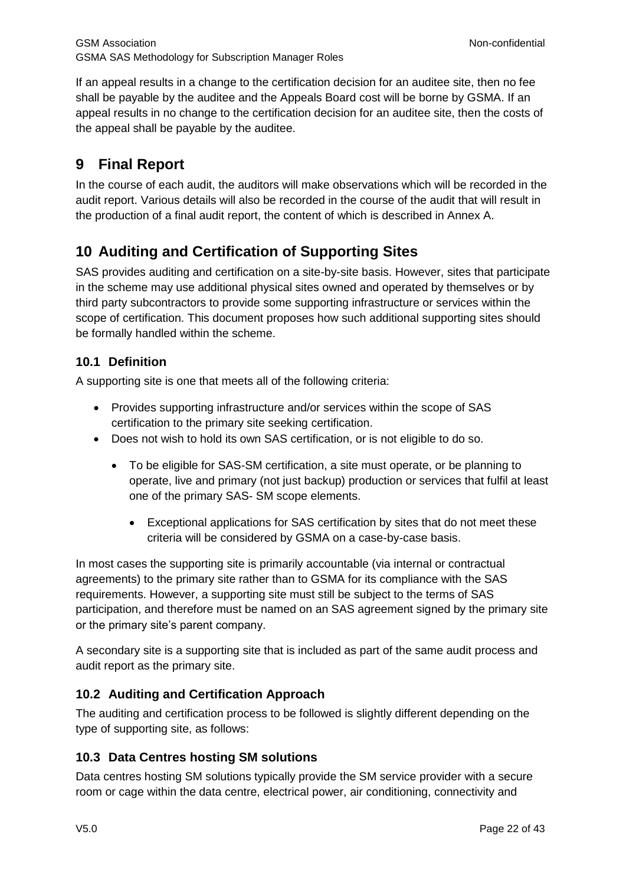If an appeal results in a change to the certification decision for an auditee site, then no fee shall be payable by the auditee and the Appeals Board cost will be borne by GSMA. If an appeal results in no change to the certification decision for an auditee site, then the costs of the appeal shall be payable by the auditee.

## <span id="page-21-0"></span>**9 Final Report**

In the course of each audit, the auditors will make observations which will be recorded in the audit report. Various details will also be recorded in the course of the audit that will result in the production of a final audit report, the content of which is described in [Annex](#page-27-0) A.

## <span id="page-21-1"></span>**10 Auditing and Certification of Supporting Sites**

SAS provides auditing and certification on a site-by-site basis. However, sites that participate in the scheme may use additional physical sites owned and operated by themselves or by third party subcontractors to provide some supporting infrastructure or services within the scope of certification. This document proposes how such additional supporting sites should be formally handled within the scheme.

## <span id="page-21-2"></span>**10.1 Definition**

A supporting site is one that meets all of the following criteria:

- Provides supporting infrastructure and/or services within the scope of SAS certification to the primary site seeking certification.
- Does not wish to hold its own SAS certification, or is not eligible to do so.
	- To be eligible for SAS-SM certification, a site must operate, or be planning to operate, live and primary (not just backup) production or services that fulfil at least one of the primary SAS- SM scope elements.
		- Exceptional applications for SAS certification by sites that do not meet these criteria will be considered by GSMA on a case-by-case basis.

In most cases the supporting site is primarily accountable (via internal or contractual agreements) to the primary site rather than to GSMA for its compliance with the SAS requirements. However, a supporting site must still be subject to the terms of SAS participation, and therefore must be named on an SAS agreement signed by the primary site or the primary site's parent company.

A secondary site is a supporting site that is included as part of the same audit process and audit report as the primary site.

## <span id="page-21-3"></span>**10.2 Auditing and Certification Approach**

The auditing and certification process to be followed is slightly different depending on the type of supporting site, as follows:

## <span id="page-21-4"></span>**10.3 Data Centres hosting SM solutions**

Data centres hosting SM solutions typically provide the SM service provider with a secure room or cage within the data centre, electrical power, air conditioning, connectivity and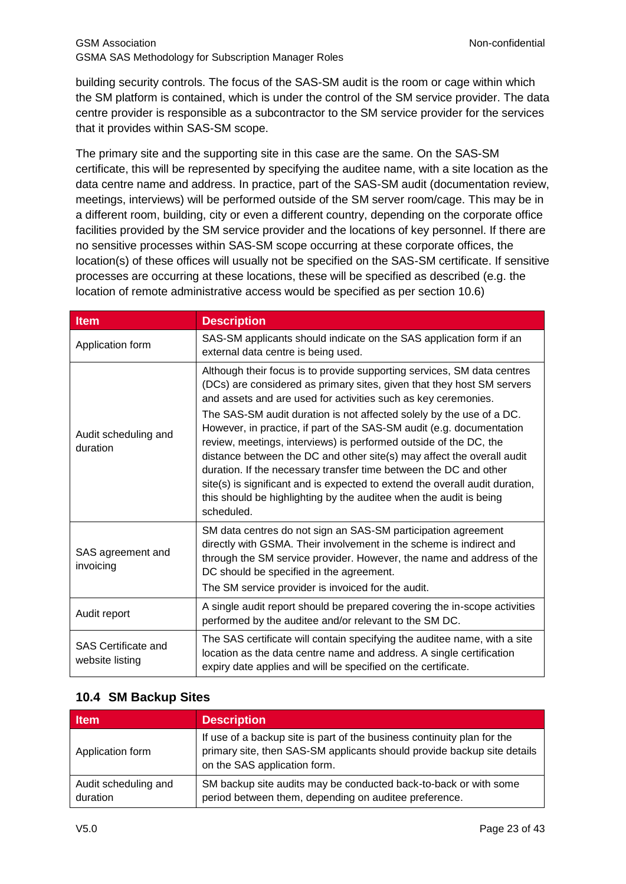building security controls. The focus of the SAS-SM audit is the room or cage within which the SM platform is contained, which is under the control of the SM service provider. The data centre provider is responsible as a subcontractor to the SM service provider for the services that it provides within SAS-SM scope.

The primary site and the supporting site in this case are the same. On the SAS-SM certificate, this will be represented by specifying the auditee name, with a site location as the data centre name and address. In practice, part of the SAS-SM audit (documentation review, meetings, interviews) will be performed outside of the SM server room/cage. This may be in a different room, building, city or even a different country, depending on the corporate office facilities provided by the SM service provider and the locations of key personnel. If there are no sensitive processes within SAS-SM scope occurring at these corporate offices, the location(s) of these offices will usually not be specified on the SAS-SM certificate. If sensitive processes are occurring at these locations, these will be specified as described (e.g. the location of remote administrative access would be specified as per section [10.6\)](#page-24-0)

| <b>Item</b>                                   | <b>Description</b>                                                                                                                                                                                                                                                                                                                                                                                                                                                                                                                                                                                                                                                                                                                                           |
|-----------------------------------------------|--------------------------------------------------------------------------------------------------------------------------------------------------------------------------------------------------------------------------------------------------------------------------------------------------------------------------------------------------------------------------------------------------------------------------------------------------------------------------------------------------------------------------------------------------------------------------------------------------------------------------------------------------------------------------------------------------------------------------------------------------------------|
| Application form                              | SAS-SM applicants should indicate on the SAS application form if an<br>external data centre is being used.                                                                                                                                                                                                                                                                                                                                                                                                                                                                                                                                                                                                                                                   |
| Audit scheduling and<br>duration              | Although their focus is to provide supporting services, SM data centres<br>(DCs) are considered as primary sites, given that they host SM servers<br>and assets and are used for activities such as key ceremonies.<br>The SAS-SM audit duration is not affected solely by the use of a DC.<br>However, in practice, if part of the SAS-SM audit (e.g. documentation<br>review, meetings, interviews) is performed outside of the DC, the<br>distance between the DC and other site(s) may affect the overall audit<br>duration. If the necessary transfer time between the DC and other<br>site(s) is significant and is expected to extend the overall audit duration,<br>this should be highlighting by the auditee when the audit is being<br>scheduled. |
| SAS agreement and<br>invoicing                | SM data centres do not sign an SAS-SM participation agreement<br>directly with GSMA. Their involvement in the scheme is indirect and<br>through the SM service provider. However, the name and address of the<br>DC should be specified in the agreement.<br>The SM service provider is invoiced for the audit.                                                                                                                                                                                                                                                                                                                                                                                                                                              |
| Audit report                                  | A single audit report should be prepared covering the in-scope activities<br>performed by the auditee and/or relevant to the SM DC.                                                                                                                                                                                                                                                                                                                                                                                                                                                                                                                                                                                                                          |
| <b>SAS Certificate and</b><br>website listing | The SAS certificate will contain specifying the auditee name, with a site<br>location as the data centre name and address. A single certification<br>expiry date applies and will be specified on the certificate.                                                                                                                                                                                                                                                                                                                                                                                                                                                                                                                                           |

## <span id="page-22-0"></span>**10.4 SM Backup Sites**

| <b>Item</b>                      | <b>Description</b>                                                                                                                                                                 |
|----------------------------------|------------------------------------------------------------------------------------------------------------------------------------------------------------------------------------|
| Application form                 | If use of a backup site is part of the business continuity plan for the<br>primary site, then SAS-SM applicants should provide backup site details<br>on the SAS application form. |
| Audit scheduling and<br>duration | SM backup site audits may be conducted back-to-back or with some<br>period between them, depending on auditee preference.                                                          |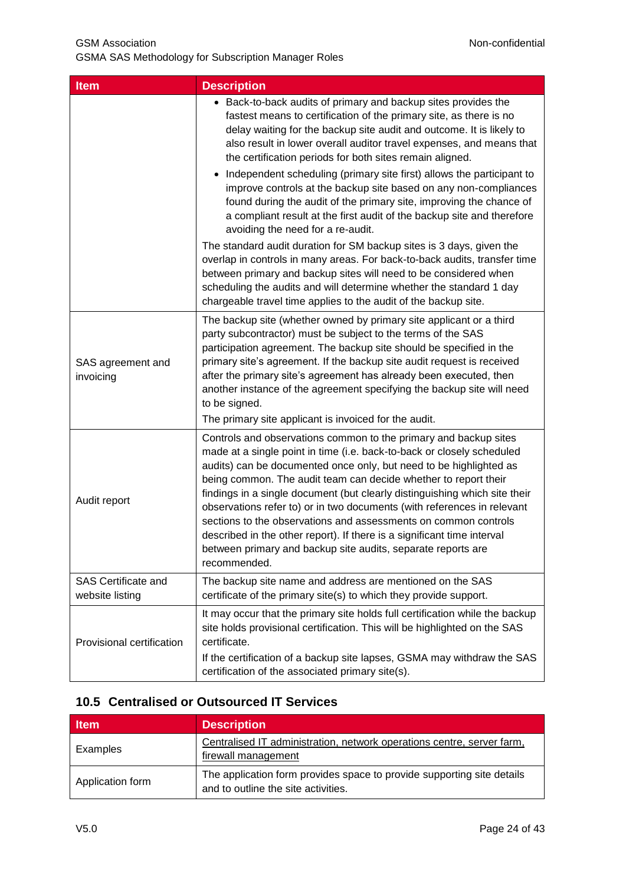| <b>Item</b>                                   | <b>Description</b>                                                                                                                                                                                                                                                                                                                                                                                                                                                                                                                                                                                                                                                         |  |  |
|-----------------------------------------------|----------------------------------------------------------------------------------------------------------------------------------------------------------------------------------------------------------------------------------------------------------------------------------------------------------------------------------------------------------------------------------------------------------------------------------------------------------------------------------------------------------------------------------------------------------------------------------------------------------------------------------------------------------------------------|--|--|
|                                               | • Back-to-back audits of primary and backup sites provides the<br>fastest means to certification of the primary site, as there is no<br>delay waiting for the backup site audit and outcome. It is likely to<br>also result in lower overall auditor travel expenses, and means that<br>the certification periods for both sites remain aligned.                                                                                                                                                                                                                                                                                                                           |  |  |
|                                               | • Independent scheduling (primary site first) allows the participant to<br>improve controls at the backup site based on any non-compliances<br>found during the audit of the primary site, improving the chance of<br>a compliant result at the first audit of the backup site and therefore<br>avoiding the need for a re-audit.                                                                                                                                                                                                                                                                                                                                          |  |  |
|                                               | The standard audit duration for SM backup sites is 3 days, given the<br>overlap in controls in many areas. For back-to-back audits, transfer time<br>between primary and backup sites will need to be considered when<br>scheduling the audits and will determine whether the standard 1 day<br>chargeable travel time applies to the audit of the backup site.                                                                                                                                                                                                                                                                                                            |  |  |
| SAS agreement and<br>invoicing                | The backup site (whether owned by primary site applicant or a third<br>party subcontractor) must be subject to the terms of the SAS<br>participation agreement. The backup site should be specified in the<br>primary site's agreement. If the backup site audit request is received<br>after the primary site's agreement has already been executed, then<br>another instance of the agreement specifying the backup site will need<br>to be signed.<br>The primary site applicant is invoiced for the audit.                                                                                                                                                             |  |  |
| Audit report                                  | Controls and observations common to the primary and backup sites<br>made at a single point in time (i.e. back-to-back or closely scheduled<br>audits) can be documented once only, but need to be highlighted as<br>being common. The audit team can decide whether to report their<br>findings in a single document (but clearly distinguishing which site their<br>observations refer to) or in two documents (with references in relevant<br>sections to the observations and assessments on common controls<br>described in the other report). If there is a significant time interval<br>between primary and backup site audits, separate reports are<br>recommended. |  |  |
| <b>SAS Certificate and</b><br>website listing | The backup site name and address are mentioned on the SAS<br>certificate of the primary site(s) to which they provide support.                                                                                                                                                                                                                                                                                                                                                                                                                                                                                                                                             |  |  |
| Provisional certification                     | It may occur that the primary site holds full certification while the backup<br>site holds provisional certification. This will be highlighted on the SAS<br>certificate.<br>If the certification of a backup site lapses, GSMA may withdraw the SAS<br>certification of the associated primary site(s).                                                                                                                                                                                                                                                                                                                                                                   |  |  |

## <span id="page-23-0"></span>**10.5 Centralised or Outsourced IT Services**

| <b>Item</b>      | <b>Description</b>                                                                                            |  |  |
|------------------|---------------------------------------------------------------------------------------------------------------|--|--|
| Examples         | Centralised IT administration, network operations centre, server farm,<br>firewall management                 |  |  |
| Application form | The application form provides space to provide supporting site details<br>and to outline the site activities. |  |  |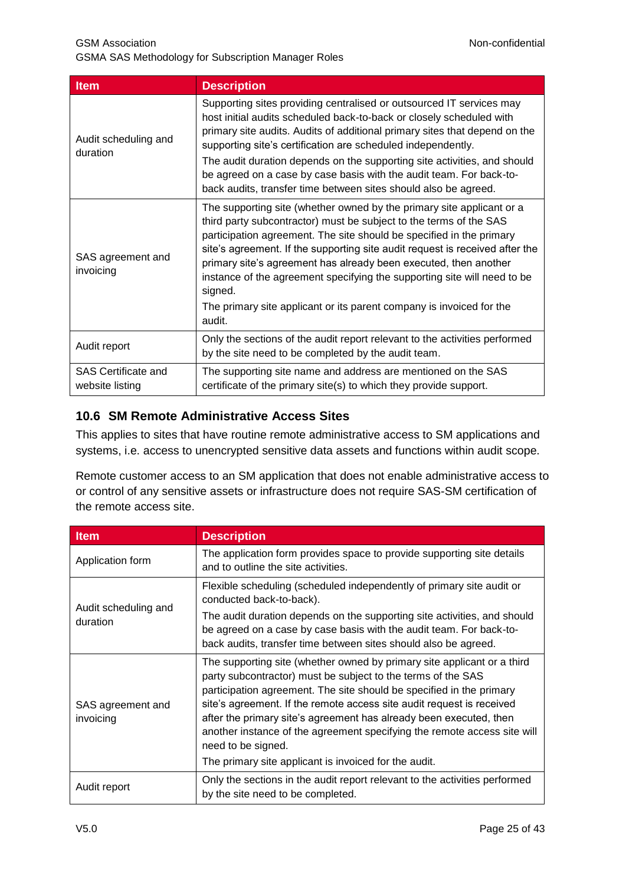GSMA SAS Methodology for Subscription Manager Roles

| <b>Item</b>                                   | <b>Description</b>                                                                                                                                                                                                                                                                                                                                                                                                                                                                                                                               |  |
|-----------------------------------------------|--------------------------------------------------------------------------------------------------------------------------------------------------------------------------------------------------------------------------------------------------------------------------------------------------------------------------------------------------------------------------------------------------------------------------------------------------------------------------------------------------------------------------------------------------|--|
| Audit scheduling and<br>duration              | Supporting sites providing centralised or outsourced IT services may<br>host initial audits scheduled back-to-back or closely scheduled with<br>primary site audits. Audits of additional primary sites that depend on the<br>supporting site's certification are scheduled independently.<br>The audit duration depends on the supporting site activities, and should<br>be agreed on a case by case basis with the audit team. For back-to-<br>back audits, transfer time between sites should also be agreed.                                 |  |
| SAS agreement and<br>invoicing                | The supporting site (whether owned by the primary site applicant or a<br>third party subcontractor) must be subject to the terms of the SAS<br>participation agreement. The site should be specified in the primary<br>site's agreement. If the supporting site audit request is received after the<br>primary site's agreement has already been executed, then another<br>instance of the agreement specifying the supporting site will need to be<br>signed.<br>The primary site applicant or its parent company is invoiced for the<br>audit. |  |
| Audit report                                  | Only the sections of the audit report relevant to the activities performed<br>by the site need to be completed by the audit team.                                                                                                                                                                                                                                                                                                                                                                                                                |  |
| <b>SAS Certificate and</b><br>website listing | The supporting site name and address are mentioned on the SAS<br>certificate of the primary site(s) to which they provide support.                                                                                                                                                                                                                                                                                                                                                                                                               |  |

#### <span id="page-24-0"></span>**10.6 SM Remote Administrative Access Sites**

This applies to sites that have routine remote administrative access to SM applications and systems, i.e. access to unencrypted sensitive data assets and functions within audit scope.

Remote customer access to an SM application that does not enable administrative access to or control of any sensitive assets or infrastructure does not require SAS-SM certification of the remote access site.

| <b>Item</b>                    | <b>Description</b>                                                                                                                                                                                                                                                                                                                                                                                                                                                                                                        |  |  |
|--------------------------------|---------------------------------------------------------------------------------------------------------------------------------------------------------------------------------------------------------------------------------------------------------------------------------------------------------------------------------------------------------------------------------------------------------------------------------------------------------------------------------------------------------------------------|--|--|
| Application form               | The application form provides space to provide supporting site details<br>and to outline the site activities.                                                                                                                                                                                                                                                                                                                                                                                                             |  |  |
| Audit scheduling and           | Flexible scheduling (scheduled independently of primary site audit or<br>conducted back-to-back).                                                                                                                                                                                                                                                                                                                                                                                                                         |  |  |
| duration                       | The audit duration depends on the supporting site activities, and should<br>be agreed on a case by case basis with the audit team. For back-to-<br>back audits, transfer time between sites should also be agreed.                                                                                                                                                                                                                                                                                                        |  |  |
| SAS agreement and<br>invoicing | The supporting site (whether owned by primary site applicant or a third<br>party subcontractor) must be subject to the terms of the SAS<br>participation agreement. The site should be specified in the primary<br>site's agreement. If the remote access site audit request is received<br>after the primary site's agreement has already been executed, then<br>another instance of the agreement specifying the remote access site will<br>need to be signed.<br>The primary site applicant is invoiced for the audit. |  |  |
| Audit report                   | Only the sections in the audit report relevant to the activities performed<br>by the site need to be completed.                                                                                                                                                                                                                                                                                                                                                                                                           |  |  |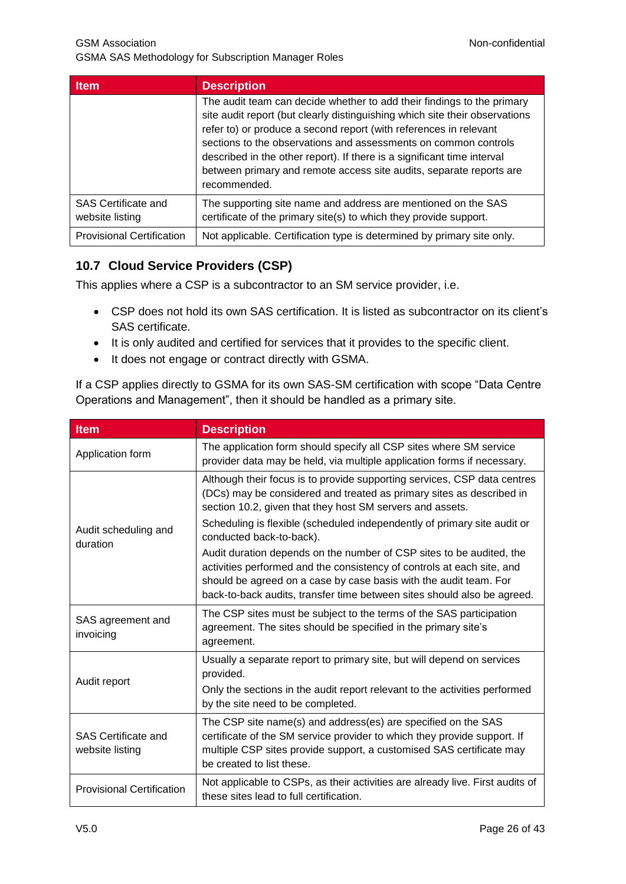| <b>Item</b>                            | <b>Description</b>                                                                                                                                                                                                                                                                                                                                                                                                                                              |
|----------------------------------------|-----------------------------------------------------------------------------------------------------------------------------------------------------------------------------------------------------------------------------------------------------------------------------------------------------------------------------------------------------------------------------------------------------------------------------------------------------------------|
|                                        | The audit team can decide whether to add their findings to the primary<br>site audit report (but clearly distinguishing which site their observations<br>refer to) or produce a second report (with references in relevant<br>sections to the observations and assessments on common controls<br>described in the other report). If there is a significant time interval<br>between primary and remote access site audits, separate reports are<br>recommended. |
| SAS Certificate and<br>website listing | The supporting site name and address are mentioned on the SAS<br>certificate of the primary site(s) to which they provide support.                                                                                                                                                                                                                                                                                                                              |
| <b>Provisional Certification</b>       | Not applicable. Certification type is determined by primary site only.                                                                                                                                                                                                                                                                                                                                                                                          |

## <span id="page-25-0"></span>**10.7 Cloud Service Providers (CSP)**

This applies where a CSP is a subcontractor to an SM service provider, i.e.

- CSP does not hold its own SAS certification. It is listed as subcontractor on its client's SAS certificate.
- It is only audited and certified for services that it provides to the specific client.
- It does not engage or contract directly with GSMA.

If a CSP applies directly to GSMA for its own SAS-SM certification with scope "Data Centre Operations and Management", then it should be handled as a primary site.

| <b>Item</b>                                   | <b>Description</b>                                                                                                                                                                                                                                                                             |  |  |
|-----------------------------------------------|------------------------------------------------------------------------------------------------------------------------------------------------------------------------------------------------------------------------------------------------------------------------------------------------|--|--|
| Application form                              | The application form should specify all CSP sites where SM service<br>provider data may be held, via multiple application forms if necessary.                                                                                                                                                  |  |  |
| Audit scheduling and<br>duration              | Although their focus is to provide supporting services, CSP data centres<br>(DCs) may be considered and treated as primary sites as described in<br>section 10.2, given that they host SM servers and assets.                                                                                  |  |  |
|                                               | Scheduling is flexible (scheduled independently of primary site audit or<br>conducted back-to-back).                                                                                                                                                                                           |  |  |
|                                               | Audit duration depends on the number of CSP sites to be audited, the<br>activities performed and the consistency of controls at each site, and<br>should be agreed on a case by case basis with the audit team. For<br>back-to-back audits, transfer time between sites should also be agreed. |  |  |
| SAS agreement and<br>invoicing                | The CSP sites must be subject to the terms of the SAS participation<br>agreement. The sites should be specified in the primary site's<br>agreement.                                                                                                                                            |  |  |
| Audit report                                  | Usually a separate report to primary site, but will depend on services<br>provided.                                                                                                                                                                                                            |  |  |
|                                               | Only the sections in the audit report relevant to the activities performed<br>by the site need to be completed.                                                                                                                                                                                |  |  |
| <b>SAS Certificate and</b><br>website listing | The CSP site name(s) and address(es) are specified on the SAS<br>certificate of the SM service provider to which they provide support. If<br>multiple CSP sites provide support, a customised SAS certificate may<br>be created to list these.                                                 |  |  |
| <b>Provisional Certification</b>              | Not applicable to CSPs, as their activities are already live. First audits of<br>these sites lead to full certification.                                                                                                                                                                       |  |  |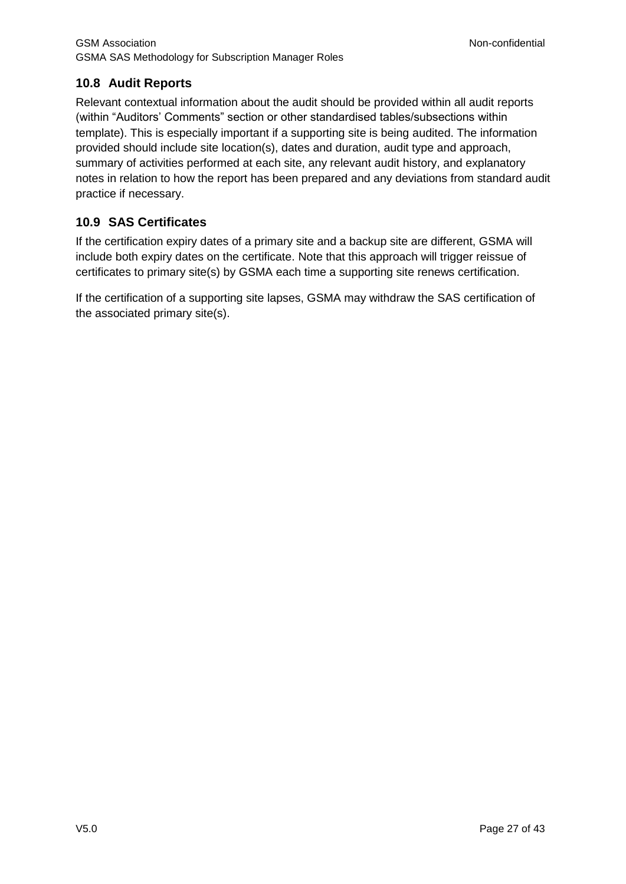## <span id="page-26-0"></span>**10.8 Audit Reports**

Relevant contextual information about the audit should be provided within all audit reports (within "Auditors' Comments" section or other standardised tables/subsections within template). This is especially important if a supporting site is being audited. The information provided should include site location(s), dates and duration, audit type and approach, summary of activities performed at each site, any relevant audit history, and explanatory notes in relation to how the report has been prepared and any deviations from standard audit practice if necessary.

#### <span id="page-26-1"></span>**10.9 SAS Certificates**

If the certification expiry dates of a primary site and a backup site are different, GSMA will include both expiry dates on the certificate. Note that this approach will trigger reissue of certificates to primary site(s) by GSMA each time a supporting site renews certification.

If the certification of a supporting site lapses, GSMA may withdraw the SAS certification of the associated primary site(s).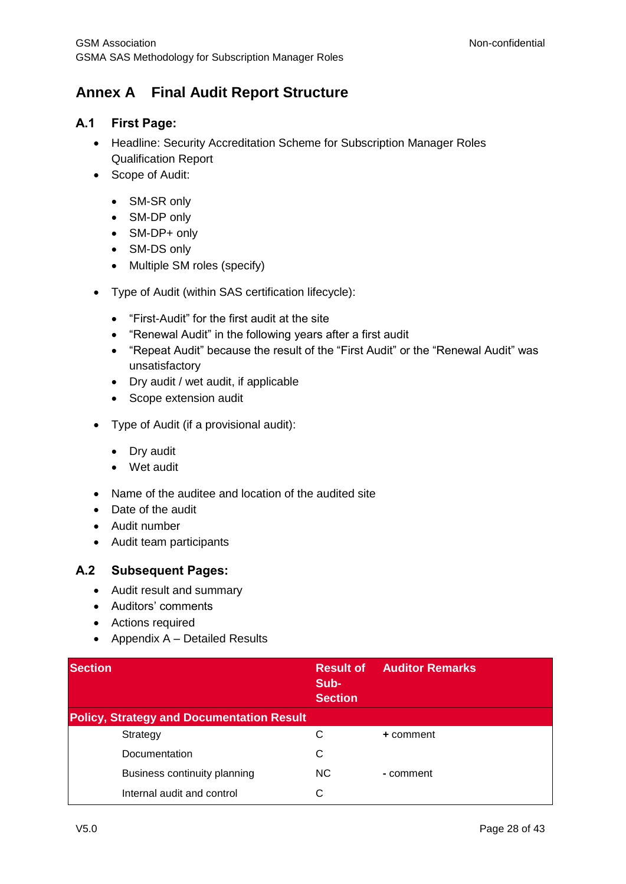## <span id="page-27-0"></span>**Annex A Final Audit Report Structure**

#### <span id="page-27-1"></span>**A.1 First Page:**

- Headline: Security Accreditation Scheme for Subscription Manager Roles Qualification Report
- Scope of Audit:
	- SM-SR only
	- SM-DP only
	- SM-DP+ only
	- SM-DS only
	- Multiple SM roles (specify)
- Type of Audit (within SAS certification lifecycle):
	- "First-Audit" for the first audit at the site
	- "Renewal Audit" in the following years after a first audit
	- "Repeat Audit" because the result of the "First Audit" or the "Renewal Audit" was unsatisfactory
	- Dry audit / wet audit, if applicable
	- Scope extension audit
- Type of Audit (if a provisional audit):
	- Dry audit
	- Wet audit
- Name of the auditee and location of the audited site
- Date of the audit
- Audit number
- Audit team participants

#### <span id="page-27-2"></span>**A.2 Subsequent Pages:**

- Audit result and summary
- Auditors' comments
- Actions required
- Appendix  $A -$  Detailed Results

| <b>Section</b>                                   | <b>Result of</b><br>Sub-<br><b>Section</b> | <b>Auditor Remarks</b> |
|--------------------------------------------------|--------------------------------------------|------------------------|
| <b>Policy, Strategy and Documentation Result</b> |                                            |                        |
| Strategy                                         | С                                          | + comment              |
| Documentation                                    | C                                          |                        |
| Business continuity planning                     | NC.                                        | - comment              |
| Internal audit and control                       | C                                          |                        |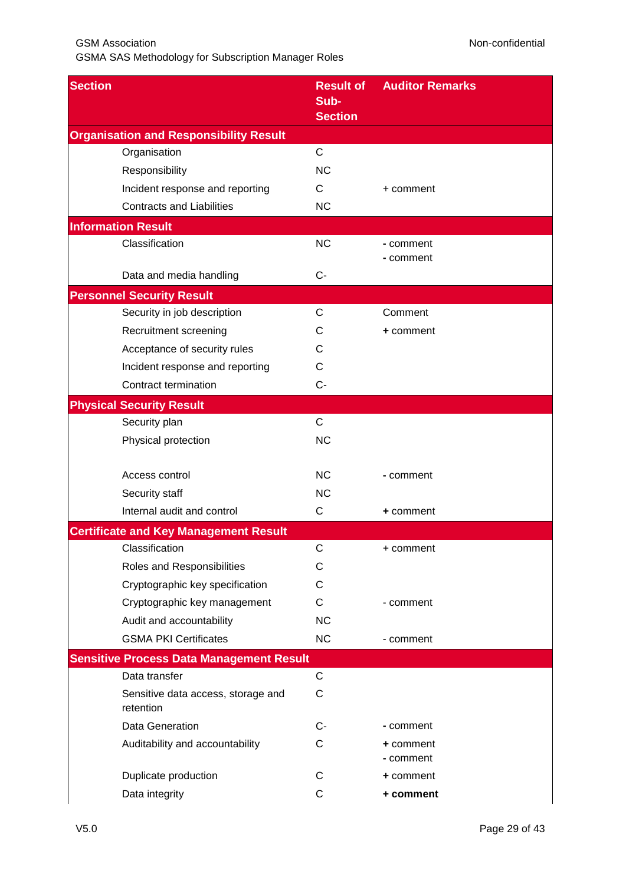GSMA SAS Methodology for Subscription Manager Roles

| <b>Section</b>                                  | <b>Result of</b><br>Sub-<br><b>Section</b> | <b>Auditor Remarks</b> |
|-------------------------------------------------|--------------------------------------------|------------------------|
| <b>Organisation and Responsibility Result</b>   |                                            |                        |
| Organisation                                    | $\mathsf{C}$                               |                        |
| Responsibility                                  | <b>NC</b>                                  |                        |
| Incident response and reporting                 | C                                          | + comment              |
| <b>Contracts and Liabilities</b>                | <b>NC</b>                                  |                        |
| <b>Information Result</b>                       |                                            |                        |
| Classification                                  | <b>NC</b>                                  | - comment<br>- comment |
| Data and media handling                         | $C-$                                       |                        |
| <b>Personnel Security Result</b>                |                                            |                        |
| Security in job description                     | $\mathsf{C}$                               | Comment                |
| Recruitment screening                           | С                                          | + comment              |
| Acceptance of security rules                    | C                                          |                        |
| Incident response and reporting                 | C                                          |                        |
| Contract termination                            | $C -$                                      |                        |
| <b>Physical Security Result</b>                 |                                            |                        |
| Security plan                                   | $\mathsf{C}$                               |                        |
| Physical protection                             | <b>NC</b>                                  |                        |
| Access control                                  | <b>NC</b>                                  | - comment              |
| Security staff                                  | <b>NC</b>                                  |                        |
| Internal audit and control                      | C                                          | + comment              |
| <b>Certificate and Key Management Result</b>    |                                            |                        |
| Classification                                  | С                                          | + comment              |
| Roles and Responsibilities                      | С                                          |                        |
| Cryptographic key specification                 | С                                          |                        |
| Cryptographic key management                    | C                                          | - comment              |
| Audit and accountability                        | <b>NC</b>                                  |                        |
| <b>GSMA PKI Certificates</b>                    | <b>NC</b>                                  | - comment              |
| <b>Sensitive Process Data Management Result</b> |                                            |                        |
| Data transfer                                   | $\mathsf C$                                |                        |
| Sensitive data access, storage and<br>retention | C                                          |                        |
| Data Generation                                 | C-                                         | - comment              |
| Auditability and accountability                 | С                                          | + comment<br>- comment |
| Duplicate production                            | С                                          | + comment              |
| Data integrity                                  | C                                          | + comment              |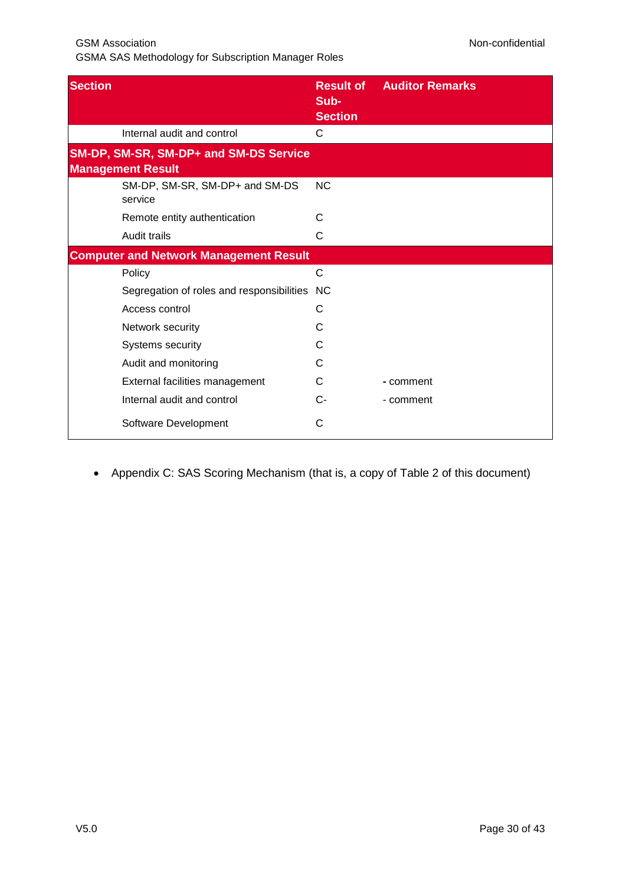GSMA SAS Methodology for Subscription Manager Roles

| <b>Section</b>           |                                               | <b>Result of</b><br>Sub-<br><b>Section</b> | <b>Auditor Remarks</b> |
|--------------------------|-----------------------------------------------|--------------------------------------------|------------------------|
|                          | Internal audit and control                    | C                                          |                        |
| <b>Management Result</b> | SM-DP, SM-SR, SM-DP+ and SM-DS Service        |                                            |                        |
| service                  | SM-DP, SM-SR, SM-DP+ and SM-DS                | <b>NC</b>                                  |                        |
|                          | Remote entity authentication                  | С                                          |                        |
| Audit trails             |                                               | C                                          |                        |
|                          | <b>Computer and Network Management Result</b> |                                            |                        |
| Policy                   |                                               | $\mathsf{C}$                               |                        |
|                          | Segregation of roles and responsibilities     | <b>NC</b>                                  |                        |
| Access control           |                                               | С                                          |                        |
| Network security         |                                               | C                                          |                        |
| Systems security         |                                               | С                                          |                        |
|                          | Audit and monitoring                          |                                            |                        |
|                          | External facilities management                | С                                          | - comment              |
|                          | Internal audit and control                    | C-                                         | - comment              |
|                          | Software Development                          | С                                          |                        |

#### Appendix C: SAS Scoring Mechanism (that is, a copy of [Table 2](#page-16-1) of this document)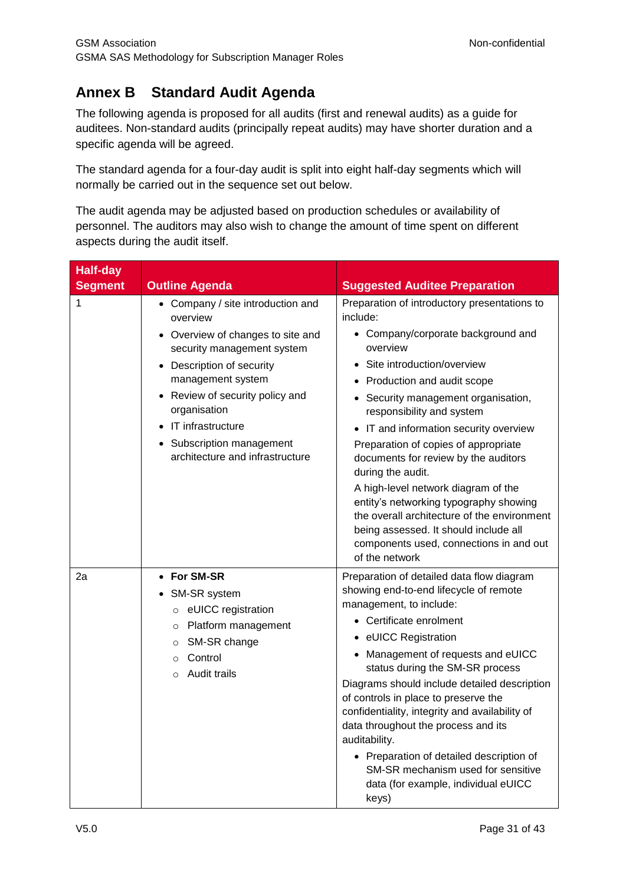## <span id="page-30-0"></span>**Annex B Standard Audit Agenda**

The following agenda is proposed for all audits (first and renewal audits) as a guide for auditees. Non-standard audits (principally repeat audits) may have shorter duration and a specific agenda will be agreed.

The standard agenda for a four-day audit is split into eight half-day segments which will normally be carried out in the sequence set out below.

The audit agenda may be adjusted based on production schedules or availability of personnel. The auditors may also wish to change the amount of time spent on different aspects during the audit itself.

| <b>Half-day</b><br><b>Segment</b> | <b>Outline Agenda</b>                                                                                                                                                                                                                                                                                      | <b>Suggested Auditee Preparation</b>                                                                                                                                                                                                                                                                                                                                                                                                                                                                                                                                                                                                |
|-----------------------------------|------------------------------------------------------------------------------------------------------------------------------------------------------------------------------------------------------------------------------------------------------------------------------------------------------------|-------------------------------------------------------------------------------------------------------------------------------------------------------------------------------------------------------------------------------------------------------------------------------------------------------------------------------------------------------------------------------------------------------------------------------------------------------------------------------------------------------------------------------------------------------------------------------------------------------------------------------------|
| 1                                 | • Company / site introduction and<br>overview<br>• Overview of changes to site and<br>security management system<br>• Description of security<br>management system<br>• Review of security policy and<br>organisation<br>• IT infrastructure<br>Subscription management<br>architecture and infrastructure | Preparation of introductory presentations to<br>include:<br>• Company/corporate background and<br>overview<br>• Site introduction/overview<br>• Production and audit scope<br>• Security management organisation,<br>responsibility and system<br>• IT and information security overview<br>Preparation of copies of appropriate<br>documents for review by the auditors<br>during the audit.<br>A high-level network diagram of the<br>entity's networking typography showing<br>the overall architecture of the environment<br>being assessed. It should include all<br>components used, connections in and out<br>of the network |
| 2a                                | • For SM-SR<br>• SM-SR system<br>o eUICC registration<br>Platform management<br>$\circ$<br>SM-SR change<br>$\circ$<br>Control<br>$\circ$<br>$\circ$ Audit trails                                                                                                                                           | Preparation of detailed data flow diagram<br>showing end-to-end lifecycle of remote<br>management, to include:<br>• Certificate enrolment<br>• eUICC Registration<br>• Management of requests and eUICC<br>status during the SM-SR process<br>Diagrams should include detailed description<br>of controls in place to preserve the<br>confidentiality, integrity and availability of<br>data throughout the process and its<br>auditability.<br>• Preparation of detailed description of<br>SM-SR mechanism used for sensitive<br>data (for example, individual eUICC<br>keys)                                                      |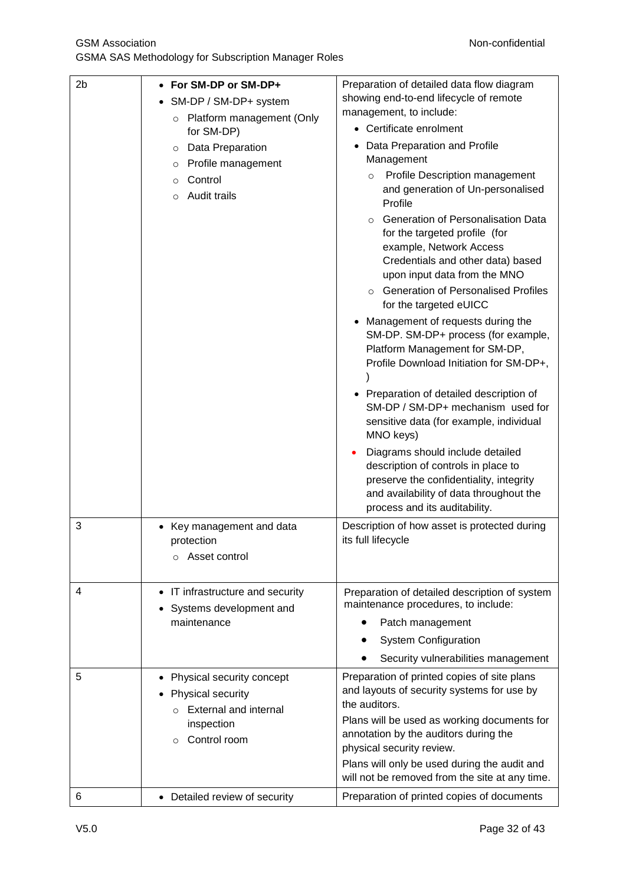GSMA SAS Methodology for Subscription Manager Roles

| 2 <sub>b</sub> | • For SM-DP or SM-DP+                                                                      | Preparation of detailed data flow diagram                                                                                                                                                                                            |  |  |
|----------------|--------------------------------------------------------------------------------------------|--------------------------------------------------------------------------------------------------------------------------------------------------------------------------------------------------------------------------------------|--|--|
|                | SM-DP / SM-DP+ system<br>$\bullet$                                                         | showing end-to-end lifecycle of remote                                                                                                                                                                                               |  |  |
|                | Platform management (Only<br>$\circ$                                                       | management, to include:                                                                                                                                                                                                              |  |  |
|                | for SM-DP)                                                                                 | • Certificate enrolment                                                                                                                                                                                                              |  |  |
|                | Data Preparation<br>$\circ$                                                                | Data Preparation and Profile                                                                                                                                                                                                         |  |  |
|                | Profile management<br>$\circ$                                                              | Management                                                                                                                                                                                                                           |  |  |
|                | Control<br>$\circ$                                                                         | Profile Description management<br>$\circ$                                                                                                                                                                                            |  |  |
|                | Audit trails<br>$\circ$                                                                    | and generation of Un-personalised<br>Profile                                                                                                                                                                                         |  |  |
|                |                                                                                            | <b>Generation of Personalisation Data</b><br>$\Omega$<br>for the targeted profile (for<br>example, Network Access<br>Credentials and other data) based<br>upon input data from the MNO<br><b>Generation of Personalised Profiles</b> |  |  |
|                |                                                                                            | for the targeted eUICC                                                                                                                                                                                                               |  |  |
|                |                                                                                            | Management of requests during the<br>SM-DP. SM-DP+ process (for example,<br>Platform Management for SM-DP,<br>Profile Download Initiation for SM-DP+,                                                                                |  |  |
|                |                                                                                            | • Preparation of detailed description of<br>SM-DP / SM-DP+ mechanism used for<br>sensitive data (for example, individual<br>MNO keys)                                                                                                |  |  |
|                |                                                                                            | Diagrams should include detailed<br>description of controls in place to<br>preserve the confidentiality, integrity<br>and availability of data throughout the<br>process and its auditability.                                       |  |  |
| 3              | • Key management and data<br>protection<br>Asset control                                   | Description of how asset is protected during<br>its full lifecycle                                                                                                                                                                   |  |  |
| 4              | • IT infrastructure and security<br>Systems development and                                | Preparation of detailed description of system<br>maintenance procedures, to include:                                                                                                                                                 |  |  |
|                | maintenance                                                                                | Patch management                                                                                                                                                                                                                     |  |  |
|                |                                                                                            | <b>System Configuration</b>                                                                                                                                                                                                          |  |  |
|                |                                                                                            | Security vulnerabilities management                                                                                                                                                                                                  |  |  |
| 5              | Physical security concept<br>Physical security<br><b>External and internal</b><br>$\Omega$ | Preparation of printed copies of site plans<br>and layouts of security systems for use by<br>the auditors.<br>Plans will be used as working documents for                                                                            |  |  |
|                | inspection<br>Control room<br>$\circ$                                                      | annotation by the auditors during the<br>physical security review.<br>Plans will only be used during the audit and                                                                                                                   |  |  |
|                |                                                                                            | will not be removed from the site at any time.                                                                                                                                                                                       |  |  |
| 6              | • Detailed review of security                                                              | Preparation of printed copies of documents                                                                                                                                                                                           |  |  |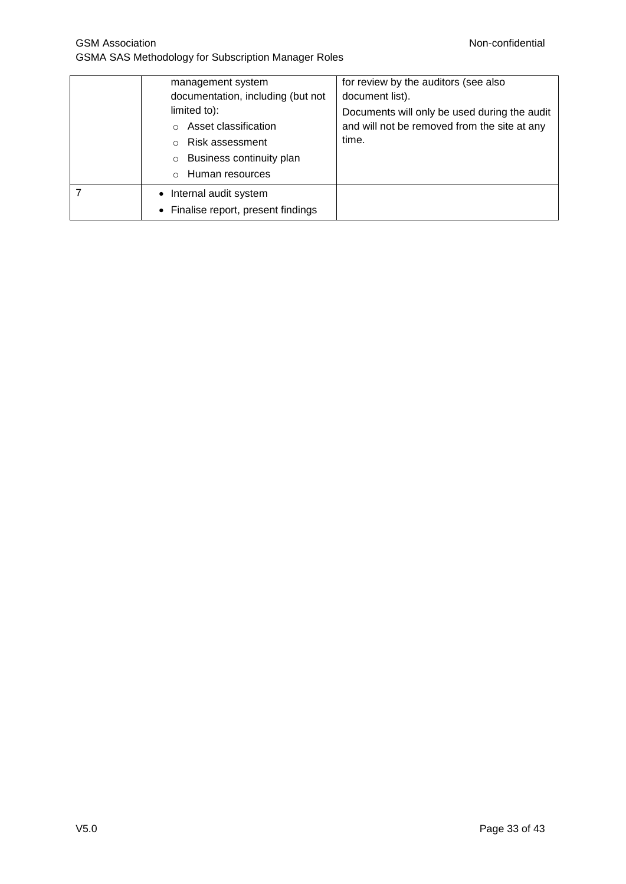| management system<br>documentation, including (but not<br>limited to):<br>Asset classification<br>Risk assessment<br>$\Omega$<br>Business continuity plan<br>$\circ$<br>Human resources<br>$\Omega$ | for review by the auditors (see also<br>document list).<br>Documents will only be used during the audit<br>and will not be removed from the site at any<br>time. |
|-----------------------------------------------------------------------------------------------------------------------------------------------------------------------------------------------------|------------------------------------------------------------------------------------------------------------------------------------------------------------------|
| • Internal audit system                                                                                                                                                                             |                                                                                                                                                                  |
| • Finalise report, present findings                                                                                                                                                                 |                                                                                                                                                                  |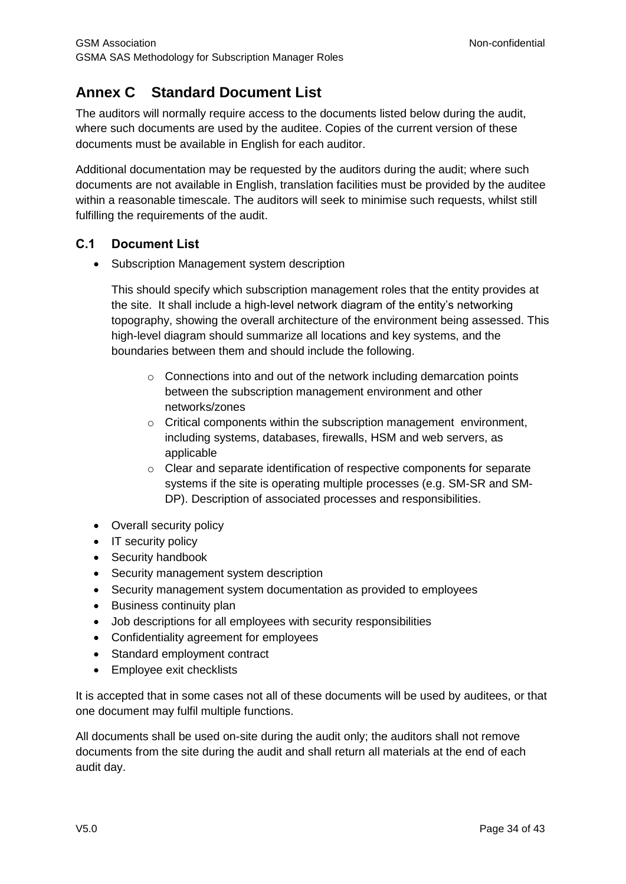## <span id="page-33-0"></span>**Annex C Standard Document List**

The auditors will normally require access to the documents listed below during the audit, where such documents are used by the auditee. Copies of the current version of these documents must be available in English for each auditor.

Additional documentation may be requested by the auditors during the audit; where such documents are not available in English, translation facilities must be provided by the auditee within a reasonable timescale. The auditors will seek to minimise such requests, whilst still fulfilling the requirements of the audit.

#### <span id="page-33-1"></span>**C.1 Document List**

• Subscription Management system description

This should specify which subscription management roles that the entity provides at the site. It shall include a high-level network diagram of the entity's networking topography, showing the overall architecture of the environment being assessed. This high-level diagram should summarize all locations and key systems, and the boundaries between them and should include the following.

- $\circ$  Connections into and out of the network including demarcation points between the subscription management environment and other networks/zones
- o Critical components within the subscription management environment, including systems, databases, firewalls, HSM and web servers, as applicable
- $\circ$  Clear and separate identification of respective components for separate systems if the site is operating multiple processes (e.g. SM-SR and SM-DP). Description of associated processes and responsibilities.
- Overall security policy
- IT security policy
- Security handbook
- Security management system description
- Security management system documentation as provided to employees
- Business continuity plan
- Job descriptions for all employees with security responsibilities
- Confidentiality agreement for employees
- Standard employment contract
- Employee exit checklists

It is accepted that in some cases not all of these documents will be used by auditees, or that one document may fulfil multiple functions.

All documents shall be used on-site during the audit only; the auditors shall not remove documents from the site during the audit and shall return all materials at the end of each audit day.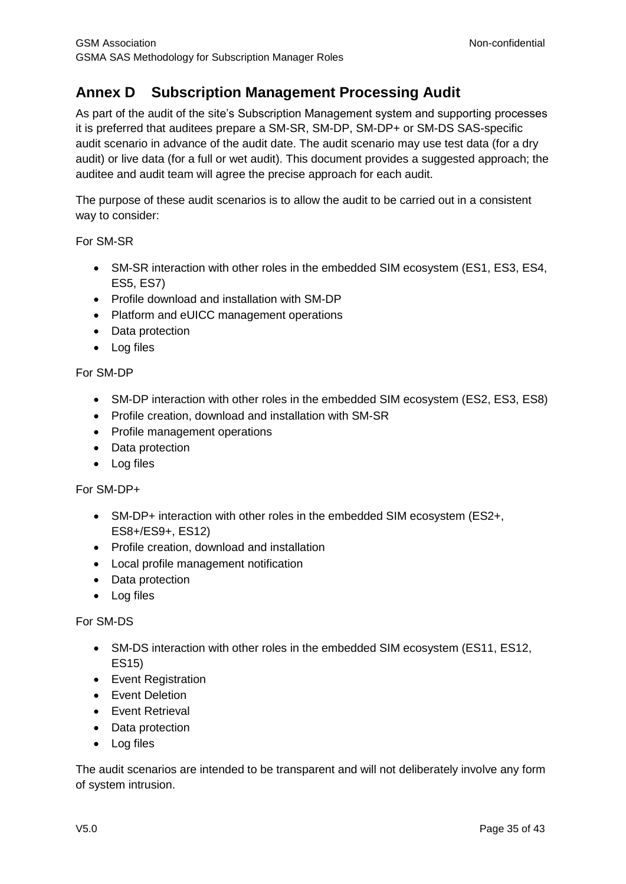## <span id="page-34-0"></span>**Annex D Subscription Management Processing Audit**

As part of the audit of the site's Subscription Management system and supporting processes it is preferred that auditees prepare a SM-SR, SM-DP, SM-DP+ or SM-DS SAS-specific audit scenario in advance of the audit date. The audit scenario may use test data (for a dry audit) or live data (for a full or wet audit). This document provides a suggested approach; the auditee and audit team will agree the precise approach for each audit.

The purpose of these audit scenarios is to allow the audit to be carried out in a consistent way to consider:

#### For SM-SR

- SM-SR interaction with other roles in the embedded SIM ecosystem (ES1, ES3, ES4, ES5, ES7)
- Profile download and installation with SM-DP
- Platform and eUICC management operations
- Data protection
- Log files

#### For SM-DP

- SM-DP interaction with other roles in the embedded SIM ecosystem (ES2, ES3, ES8)
- Profile creation, download and installation with SM-SR
- Profile management operations
- Data protection
- Log files

#### For SM-DP+

- SM-DP+ interaction with other roles in the embedded SIM ecosystem (ES2+, ES8+/ES9+, ES12)
- Profile creation, download and installation
- Local profile management notification
- Data protection
- Log files

#### For SM-DS

- SM-DS interaction with other roles in the embedded SIM ecosystem (ES11, ES12, ES15)
- Event Registration
- **•** Event Deletion
- **•** Fvent Retrieval
- Data protection
- Log files

The audit scenarios are intended to be transparent and will not deliberately involve any form of system intrusion.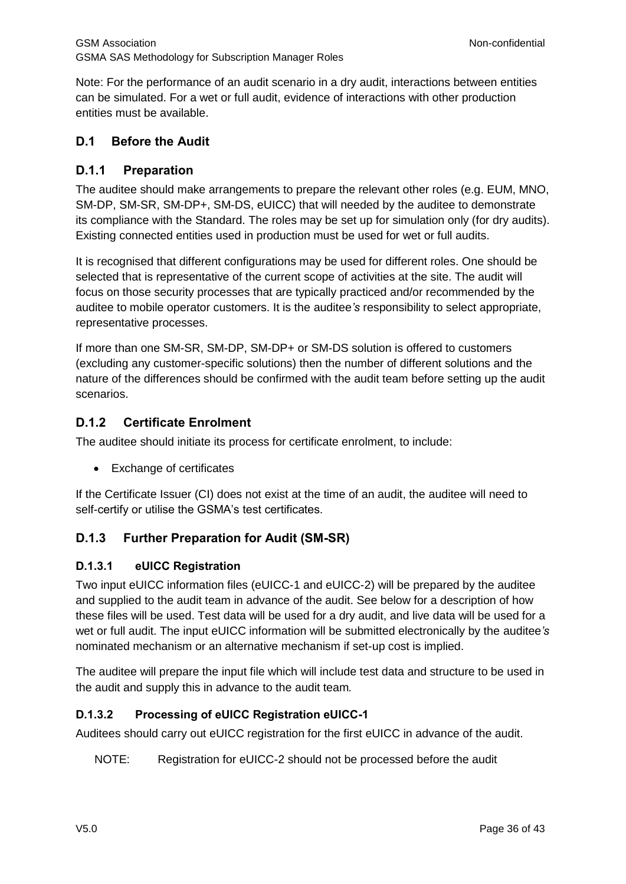Note: For the performance of an audit scenario in a dry audit, interactions between entities can be simulated. For a wet or full audit, evidence of interactions with other production entities must be available.

#### <span id="page-35-0"></span>**D.1 Before the Audit**

#### <span id="page-35-1"></span>**D.1.1 Preparation**

The auditee should make arrangements to prepare the relevant other roles (e.g. EUM, MNO, SM-DP, SM-SR, SM-DP+, SM-DS, eUICC) that will needed by the auditee to demonstrate its compliance with the Standard. The roles may be set up for simulation only (for dry audits). Existing connected entities used in production must be used for wet or full audits.

It is recognised that different configurations may be used for different roles. One should be selected that is representative of the current scope of activities at the site. The audit will focus on those security processes that are typically practiced and/or recommended by the auditee to mobile operator customers. It is the auditee*'s* responsibility to select appropriate, representative processes.

If more than one SM-SR, SM-DP, SM-DP+ or SM-DS solution is offered to customers (excluding any customer-specific solutions) then the number of different solutions and the nature of the differences should be confirmed with the audit team before setting up the audit scenarios.

#### <span id="page-35-2"></span>**D.1.2 Certificate Enrolment**

The auditee should initiate its process for certificate enrolment, to include:

• Exchange of certificates

If the Certificate Issuer (CI) does not exist at the time of an audit, the auditee will need to self-certify or utilise the GSMA's test certificates.

## <span id="page-35-3"></span>**D.1.3 Further Preparation for Audit (SM-SR)**

#### **D.1.3.1 eUICC Registration**

Two input eUICC information files (eUICC-1 and eUICC-2) will be prepared by the auditee and supplied to the audit team in advance of the audit. See below for a description of how these files will be used. Test data will be used for a dry audit, and live data will be used for a wet or full audit. The input eUICC information will be submitted electronically by the auditee*'s* nominated mechanism or an alternative mechanism if set-up cost is implied.

The auditee will prepare the input file which will include test data and structure to be used in the audit and supply this in advance to the audit team*.*

#### **D.1.3.2 Processing of eUICC Registration eUICC-1**

Auditees should carry out eUICC registration for the first eUICC in advance of the audit.

NOTE: Registration for eUICC-2 should not be processed before the audit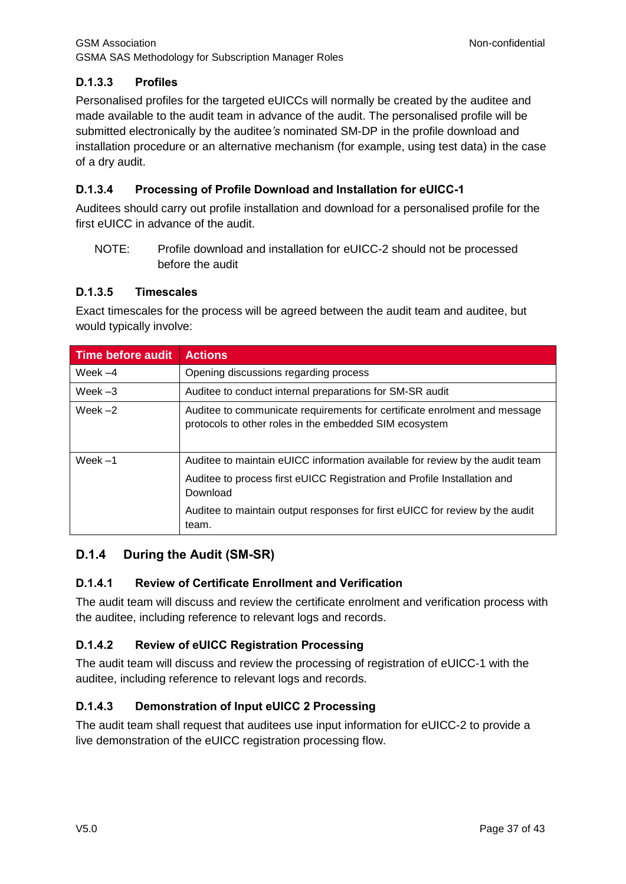## **D.1.3.3 Profiles**

Personalised profiles for the targeted eUICCs will normally be created by the auditee and made available to the audit team in advance of the audit. The personalised profile will be submitted electronically by the auditee*'s* nominated SM-DP in the profile download and installation procedure or an alternative mechanism (for example, using test data) in the case of a dry audit.

#### **D.1.3.4 Processing of Profile Download and Installation for eUICC-1**

Auditees should carry out profile installation and download for a personalised profile for the first eUICC in advance of the audit.

NOTE: Profile download and installation for eUICC-2 should not be processed before the audit

#### **D.1.3.5 Timescales**

Exact timescales for the process will be agreed between the audit team and auditee, but would typically involve:

| Time before audit | <b>Actions</b>                                                                                                                      |
|-------------------|-------------------------------------------------------------------------------------------------------------------------------------|
| Week $-4$         | Opening discussions regarding process                                                                                               |
| Week $-3$         | Auditee to conduct internal preparations for SM-SR audit                                                                            |
| Week $-2$         | Auditee to communicate requirements for certificate enrolment and message<br>protocols to other roles in the embedded SIM ecosystem |
| Week $-1$         | Auditee to maintain eUICC information available for review by the audit team                                                        |
|                   | Auditee to process first eUICC Registration and Profile Installation and<br>Download                                                |
|                   | Auditee to maintain output responses for first eUICC for review by the audit<br>team.                                               |

#### <span id="page-36-0"></span>**D.1.4 During the Audit (SM-SR)**

#### **D.1.4.1 Review of Certificate Enrollment and Verification**

The audit team will discuss and review the certificate enrolment and verification process with the auditee, including reference to relevant logs and records.

#### **D.1.4.2 Review of eUICC Registration Processing**

The audit team will discuss and review the processing of registration of eUICC-1 with the auditee, including reference to relevant logs and records.

## **D.1.4.3 Demonstration of Input eUICC 2 Processing**

The audit team shall request that auditees use input information for eUICC-2 to provide a live demonstration of the eUICC registration processing flow.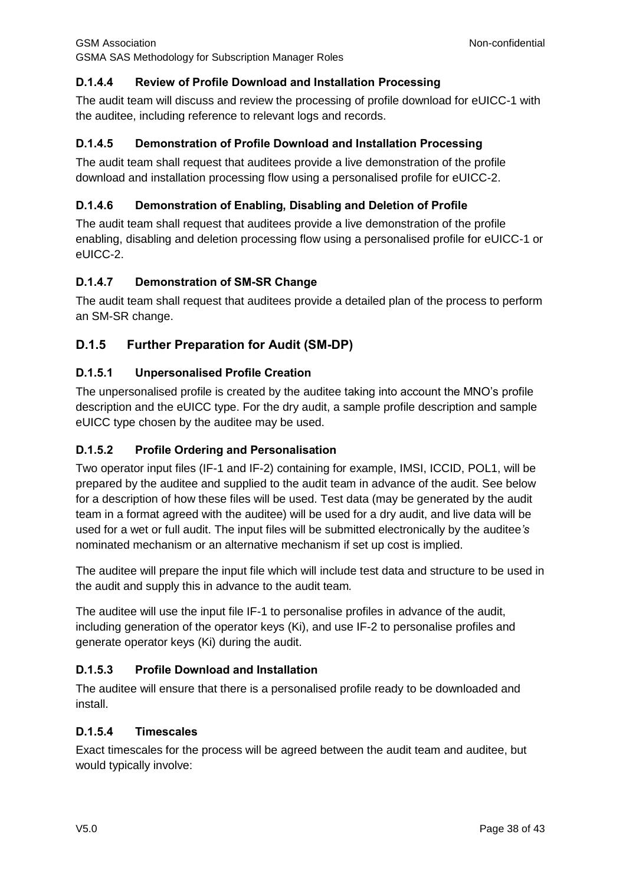## **D.1.4.4 Review of Profile Download and Installation Processing**

The audit team will discuss and review the processing of profile download for eUICC-1 with the auditee, including reference to relevant logs and records.

## **D.1.4.5 Demonstration of Profile Download and Installation Processing**

The audit team shall request that auditees provide a live demonstration of the profile download and installation processing flow using a personalised profile for eUICC-2.

## **D.1.4.6 Demonstration of Enabling, Disabling and Deletion of Profile**

The audit team shall request that auditees provide a live demonstration of the profile enabling, disabling and deletion processing flow using a personalised profile for eUICC-1 or eUICC-2.

## **D.1.4.7 Demonstration of SM-SR Change**

The audit team shall request that auditees provide a detailed plan of the process to perform an SM-SR change.

## <span id="page-37-0"></span>**D.1.5 Further Preparation for Audit (SM-DP)**

## **D.1.5.1 Unpersonalised Profile Creation**

The unpersonalised profile is created by the auditee taking into account the MNO's profile description and the eUICC type. For the dry audit, a sample profile description and sample eUICC type chosen by the auditee may be used.

## **D.1.5.2 Profile Ordering and Personalisation**

Two operator input files (IF-1 and IF-2) containing for example, IMSI, ICCID, POL1, will be prepared by the auditee and supplied to the audit team in advance of the audit. See below for a description of how these files will be used. Test data (may be generated by the audit team in a format agreed with the auditee) will be used for a dry audit, and live data will be used for a wet or full audit. The input files will be submitted electronically by the auditee*'s* nominated mechanism or an alternative mechanism if set up cost is implied.

The auditee will prepare the input file which will include test data and structure to be used in the audit and supply this in advance to the audit team*.*

The auditee will use the input file IF-1 to personalise profiles in advance of the audit, including generation of the operator keys (Ki), and use IF-2 to personalise profiles and generate operator keys (Ki) during the audit.

## **D.1.5.3 Profile Download and Installation**

The auditee will ensure that there is a personalised profile ready to be downloaded and install.

## **D.1.5.4 Timescales**

Exact timescales for the process will be agreed between the audit team and auditee, but would typically involve: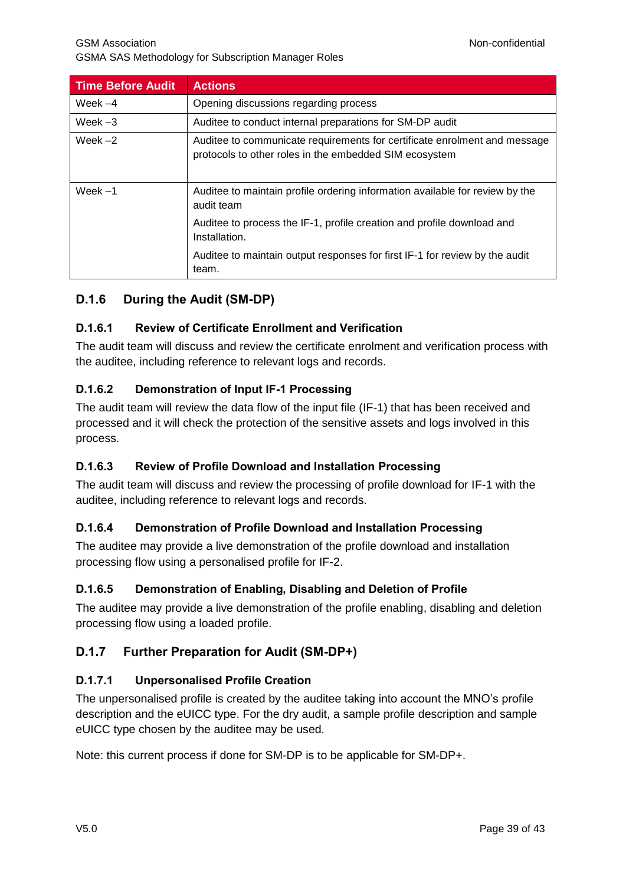| <b>Time Before Audit</b> | <b>Actions</b>                                                                                                                      |
|--------------------------|-------------------------------------------------------------------------------------------------------------------------------------|
| Week $-4$                | Opening discussions regarding process                                                                                               |
| Week $-3$                | Auditee to conduct internal preparations for SM-DP audit                                                                            |
| Week $-2$                | Auditee to communicate requirements for certificate enrolment and message<br>protocols to other roles in the embedded SIM ecosystem |
| Week $-1$                | Auditee to maintain profile ordering information available for review by the<br>audit team                                          |
|                          | Auditee to process the IF-1, profile creation and profile download and<br>Installation.                                             |
|                          | Auditee to maintain output responses for first IF-1 for review by the audit<br>team.                                                |

## <span id="page-38-0"></span>**D.1.6 During the Audit (SM-DP)**

## **D.1.6.1 Review of Certificate Enrollment and Verification**

The audit team will discuss and review the certificate enrolment and verification process with the auditee, including reference to relevant logs and records.

## **D.1.6.2 Demonstration of Input IF-1 Processing**

The audit team will review the data flow of the input file (IF-1) that has been received and processed and it will check the protection of the sensitive assets and logs involved in this process.

## **D.1.6.3 Review of Profile Download and Installation Processing**

The audit team will discuss and review the processing of profile download for IF-1 with the auditee, including reference to relevant logs and records.

## **D.1.6.4 Demonstration of Profile Download and Installation Processing**

The auditee may provide a live demonstration of the profile download and installation processing flow using a personalised profile for IF-2.

## **D.1.6.5 Demonstration of Enabling, Disabling and Deletion of Profile**

The auditee may provide a live demonstration of the profile enabling, disabling and deletion processing flow using a loaded profile.

## <span id="page-38-1"></span>**D.1.7 Further Preparation for Audit (SM-DP+)**

## **D.1.7.1 Unpersonalised Profile Creation**

The unpersonalised profile is created by the auditee taking into account the MNO's profile description and the eUICC type. For the dry audit, a sample profile description and sample eUICC type chosen by the auditee may be used.

Note: this current process if done for SM-DP is to be applicable for SM-DP+.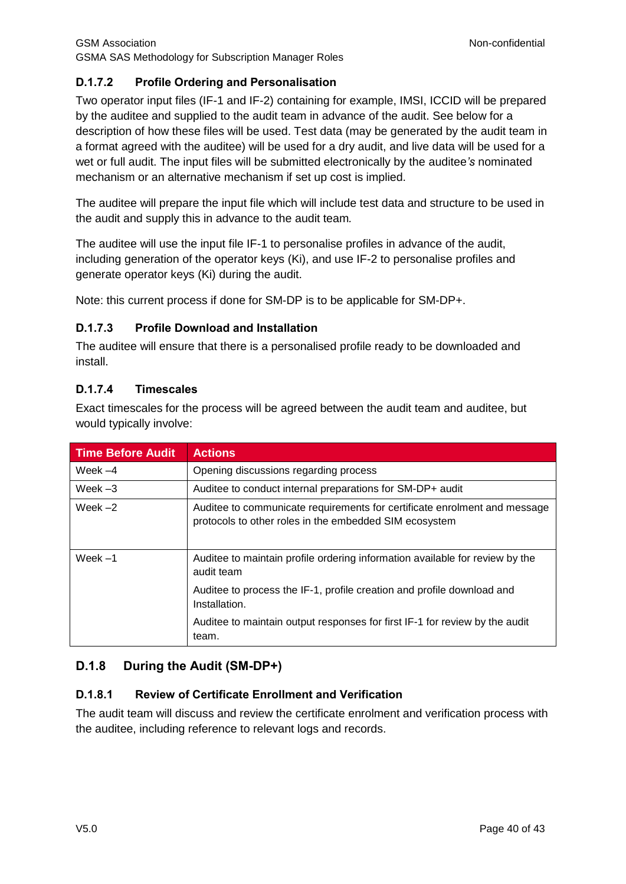## **D.1.7.2 Profile Ordering and Personalisation**

Two operator input files (IF-1 and IF-2) containing for example, IMSI, ICCID will be prepared by the auditee and supplied to the audit team in advance of the audit. See below for a description of how these files will be used. Test data (may be generated by the audit team in a format agreed with the auditee) will be used for a dry audit, and live data will be used for a wet or full audit. The input files will be submitted electronically by the auditee*'s* nominated mechanism or an alternative mechanism if set up cost is implied.

The auditee will prepare the input file which will include test data and structure to be used in the audit and supply this in advance to the audit team*.*

The auditee will use the input file IF-1 to personalise profiles in advance of the audit, including generation of the operator keys (Ki), and use IF-2 to personalise profiles and generate operator keys (Ki) during the audit.

Note: this current process if done for SM-DP is to be applicable for SM-DP+.

## **D.1.7.3 Profile Download and Installation**

The auditee will ensure that there is a personalised profile ready to be downloaded and install.

## **D.1.7.4 Timescales**

Exact timescales for the process will be agreed between the audit team and auditee, but would typically involve:

| <b>Time Before Audit</b> | <b>Actions</b>                                                                                                                      |
|--------------------------|-------------------------------------------------------------------------------------------------------------------------------------|
| Week $-4$                | Opening discussions regarding process                                                                                               |
| Week $-3$                | Auditee to conduct internal preparations for SM-DP+ audit                                                                           |
| Week $-2$                | Auditee to communicate requirements for certificate enrolment and message<br>protocols to other roles in the embedded SIM ecosystem |
| Week $-1$                | Auditee to maintain profile ordering information available for review by the<br>audit team                                          |
|                          | Auditee to process the IF-1, profile creation and profile download and<br>Installation.                                             |
|                          | Auditee to maintain output responses for first IF-1 for review by the audit<br>team.                                                |

## <span id="page-39-0"></span>**D.1.8 During the Audit (SM-DP+)**

## **D.1.8.1 Review of Certificate Enrollment and Verification**

The audit team will discuss and review the certificate enrolment and verification process with the auditee, including reference to relevant logs and records.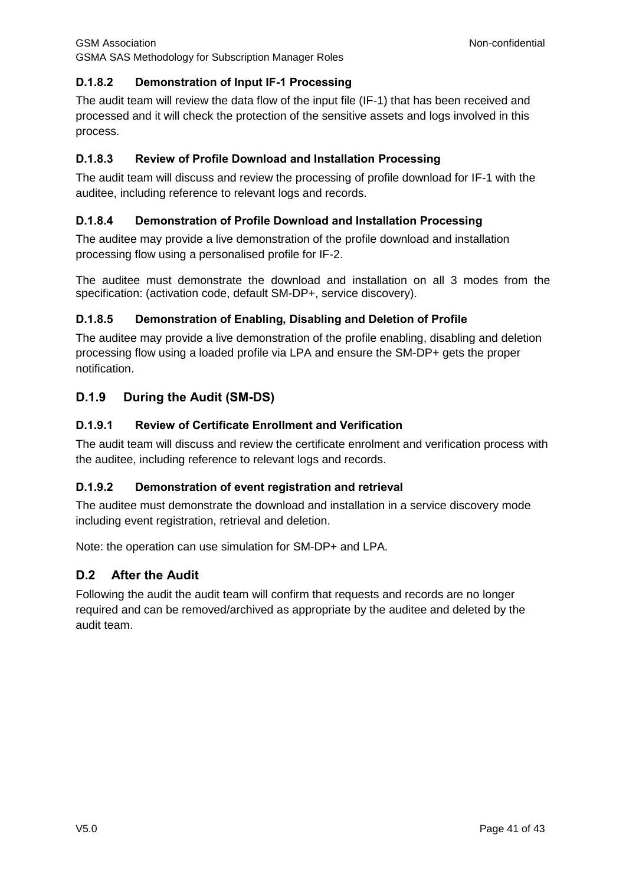#### **D.1.8.2 Demonstration of Input IF-1 Processing**

The audit team will review the data flow of the input file (IF-1) that has been received and processed and it will check the protection of the sensitive assets and logs involved in this process.

#### **D.1.8.3 Review of Profile Download and Installation Processing**

The audit team will discuss and review the processing of profile download for IF-1 with the auditee, including reference to relevant logs and records.

#### **D.1.8.4 Demonstration of Profile Download and Installation Processing**

The auditee may provide a live demonstration of the profile download and installation processing flow using a personalised profile for IF-2.

The auditee must demonstrate the download and installation on all 3 modes from the specification: (activation code, default SM-DP+, service discovery).

#### **D.1.8.5 Demonstration of Enabling, Disabling and Deletion of Profile**

The auditee may provide a live demonstration of the profile enabling, disabling and deletion processing flow using a loaded profile via LPA and ensure the SM-DP+ gets the proper notification.

## <span id="page-40-0"></span>**D.1.9 During the Audit (SM-DS)**

#### **D.1.9.1 Review of Certificate Enrollment and Verification**

The audit team will discuss and review the certificate enrolment and verification process with the auditee, including reference to relevant logs and records.

## **D.1.9.2 Demonstration of event registration and retrieval**

The auditee must demonstrate the download and installation in a service discovery mode including event registration, retrieval and deletion.

Note: the operation can use simulation for SM-DP+ and LPA.

## <span id="page-40-1"></span>**D.2 After the Audit**

Following the audit the audit team will confirm that requests and records are no longer required and can be removed/archived as appropriate by the auditee and deleted by the audit team.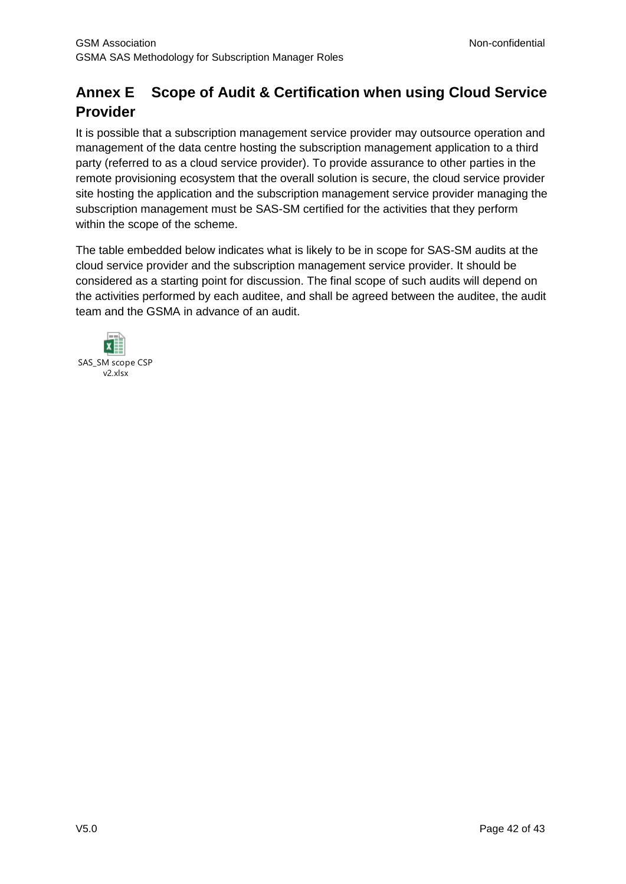## <span id="page-41-0"></span>**Annex E Scope of Audit & Certification when using Cloud Service Provider**

It is possible that a subscription management service provider may outsource operation and management of the data centre hosting the subscription management application to a third party (referred to as a cloud service provider). To provide assurance to other parties in the remote provisioning ecosystem that the overall solution is secure, the cloud service provider site hosting the application and the subscription management service provider managing the subscription management must be SAS-SM certified for the activities that they perform within the scope of the scheme.

The table embedded below indicates what is likely to be in scope for SAS-SM audits at the cloud service provider and the subscription management service provider. It should be considered as a starting point for discussion. The final scope of such audits will depend on the activities performed by each auditee, and shall be agreed between the auditee, the audit team and the GSMA in advance of an audit.